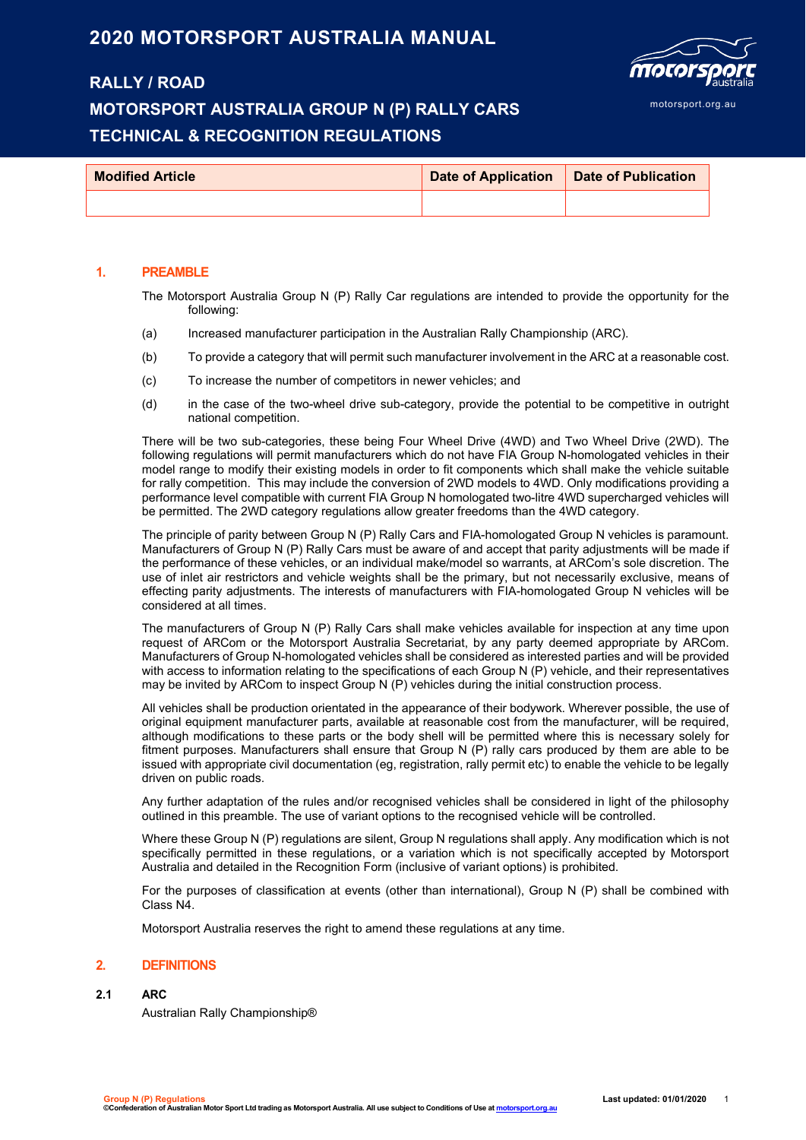## **2020 MOTORSPORT AUSTRALIA MANUAL**

### **RALLY / ROAD**

## **MOTORSPORT AUSTRALIA GROUP N (P) RALLY CARS TECHNICAL & RECOGNITION REGULATIONS**



| <b>Modified Article</b> | Date of Application   Date of Publication |  |
|-------------------------|-------------------------------------------|--|
|                         |                                           |  |

#### **1. PREAMBLE**

The Motorsport Australia Group N (P) Rally Car regulations are intended to provide the opportunity for the following:

- (a) Increased manufacturer participation in the Australian Rally Championship (ARC).
- (b) To provide a category that will permit such manufacturer involvement in the ARC at a reasonable cost.
- (c) To increase the number of competitors in newer vehicles; and
- (d) in the case of the two-wheel drive sub-category, provide the potential to be competitive in outright national competition.

There will be two sub-categories, these being Four Wheel Drive (4WD) and Two Wheel Drive (2WD). The following regulations will permit manufacturers which do not have FIA Group N-homologated vehicles in their model range to modify their existing models in order to fit components which shall make the vehicle suitable for rally competition. This may include the conversion of 2WD models to 4WD. Only modifications providing a performance level compatible with current FIA Group N homologated two-litre 4WD supercharged vehicles will be permitted. The 2WD category regulations allow greater freedoms than the 4WD category.

The principle of parity between Group N (P) Rally Cars and FIA-homologated Group N vehicles is paramount. Manufacturers of Group N (P) Rally Cars must be aware of and accept that parity adjustments will be made if the performance of these vehicles, or an individual make/model so warrants, at ARCom's sole discretion. The use of inlet air restrictors and vehicle weights shall be the primary, but not necessarily exclusive, means of effecting parity adjustments. The interests of manufacturers with FIA-homologated Group N vehicles will be considered at all times.

The manufacturers of Group N (P) Rally Cars shall make vehicles available for inspection at any time upon request of ARCom or the Motorsport Australia Secretariat, by any party deemed appropriate by ARCom. Manufacturers of Group N-homologated vehicles shall be considered as interested parties and will be provided with access to information relating to the specifications of each Group N (P) vehicle, and their representatives may be invited by ARCom to inspect Group N (P) vehicles during the initial construction process.

All vehicles shall be production orientated in the appearance of their bodywork. Wherever possible, the use of original equipment manufacturer parts, available at reasonable cost from the manufacturer, will be required, although modifications to these parts or the body shell will be permitted where this is necessary solely for fitment purposes. Manufacturers shall ensure that Group N (P) rally cars produced by them are able to be issued with appropriate civil documentation (eg, registration, rally permit etc) to enable the vehicle to be legally driven on public roads.

Any further adaptation of the rules and/or recognised vehicles shall be considered in light of the philosophy outlined in this preamble. The use of variant options to the recognised vehicle will be controlled.

Where these Group N (P) regulations are silent, Group N regulations shall apply. Any modification which is not specifically permitted in these regulations, or a variation which is not specifically accepted by Motorsport Australia and detailed in the Recognition Form (inclusive of variant options) is prohibited.

For the purposes of classification at events (other than international), Group N (P) shall be combined with Class N4.

Motorsport Australia reserves the right to amend these regulations at any time.

#### **2. DEFINITIONS**

#### **2.1 ARC**

Australian Rally Championship®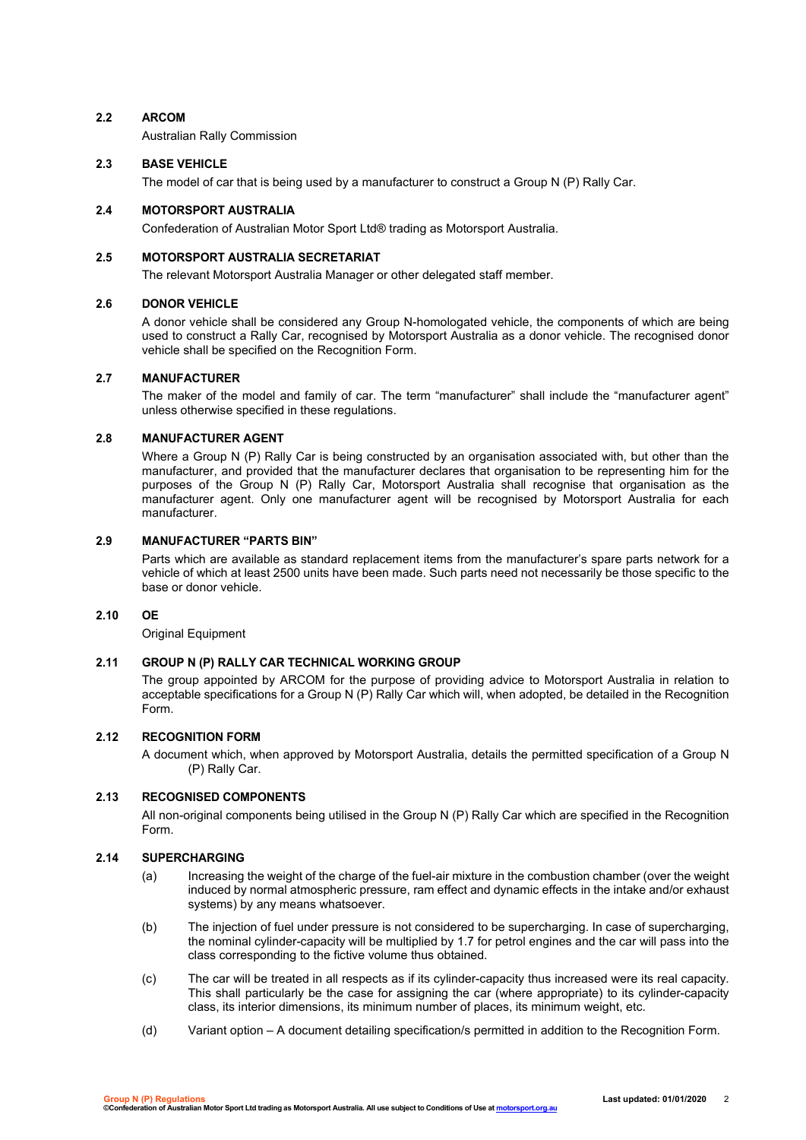#### **2.2 ARCOM**

Australian Rally Commission

#### **2.3 BASE VEHICLE**

The model of car that is being used by a manufacturer to construct a Group N (P) Rally Car.

#### **2.4 MOTORSPORT AUSTRALIA**

Confederation of Australian Motor Sport Ltd® trading as Motorsport Australia.

#### **2.5 MOTORSPORT AUSTRALIA SECRETARIAT**

The relevant Motorsport Australia Manager or other delegated staff member.

#### **2.6 DONOR VEHICLE**

A donor vehicle shall be considered any Group N-homologated vehicle, the components of which are being used to construct a Rally Car, recognised by Motorsport Australia as a donor vehicle. The recognised donor vehicle shall be specified on the Recognition Form.

#### **2.7 MANUFACTURER**

The maker of the model and family of car. The term "manufacturer" shall include the "manufacturer agent" unless otherwise specified in these regulations.

#### **2.8 MANUFACTURER AGENT**

Where a Group N (P) Rally Car is being constructed by an organisation associated with, but other than the manufacturer, and provided that the manufacturer declares that organisation to be representing him for the purposes of the Group N (P) Rally Car, Motorsport Australia shall recognise that organisation as the manufacturer agent. Only one manufacturer agent will be recognised by Motorsport Australia for each manufacturer.

#### **2.9 MANUFACTURER "PARTS BIN"**

Parts which are available as standard replacement items from the manufacturer's spare parts network for a vehicle of which at least 2500 units have been made. Such parts need not necessarily be those specific to the base or donor vehicle.

#### **2.10 OE**

Original Equipment

#### **2.11 GROUP N (P) RALLY CAR TECHNICAL WORKING GROUP**

The group appointed by ARCOM for the purpose of providing advice to Motorsport Australia in relation to acceptable specifications for a Group N (P) Rally Car which will, when adopted, be detailed in the Recognition Form.

#### **2.12 RECOGNITION FORM**

A document which, when approved by Motorsport Australia, details the permitted specification of a Group N (P) Rally Car.

#### **2.13 RECOGNISED COMPONENTS**

All non-original components being utilised in the Group N (P) Rally Car which are specified in the Recognition Form.

#### **2.14 SUPERCHARGING**

- (a) Increasing the weight of the charge of the fuel-air mixture in the combustion chamber (over the weight induced by normal atmospheric pressure, ram effect and dynamic effects in the intake and/or exhaust systems) by any means whatsoever.
- (b) The injection of fuel under pressure is not considered to be supercharging. In case of supercharging, the nominal cylinder-capacity will be multiplied by 1.7 for petrol engines and the car will pass into the class corresponding to the fictive volume thus obtained.
- (c) The car will be treated in all respects as if its cylinder-capacity thus increased were its real capacity. This shall particularly be the case for assigning the car (where appropriate) to its cylinder-capacity class, its interior dimensions, its minimum number of places, its minimum weight, etc.
- (d) Variant option A document detailing specification/s permitted in addition to the Recognition Form.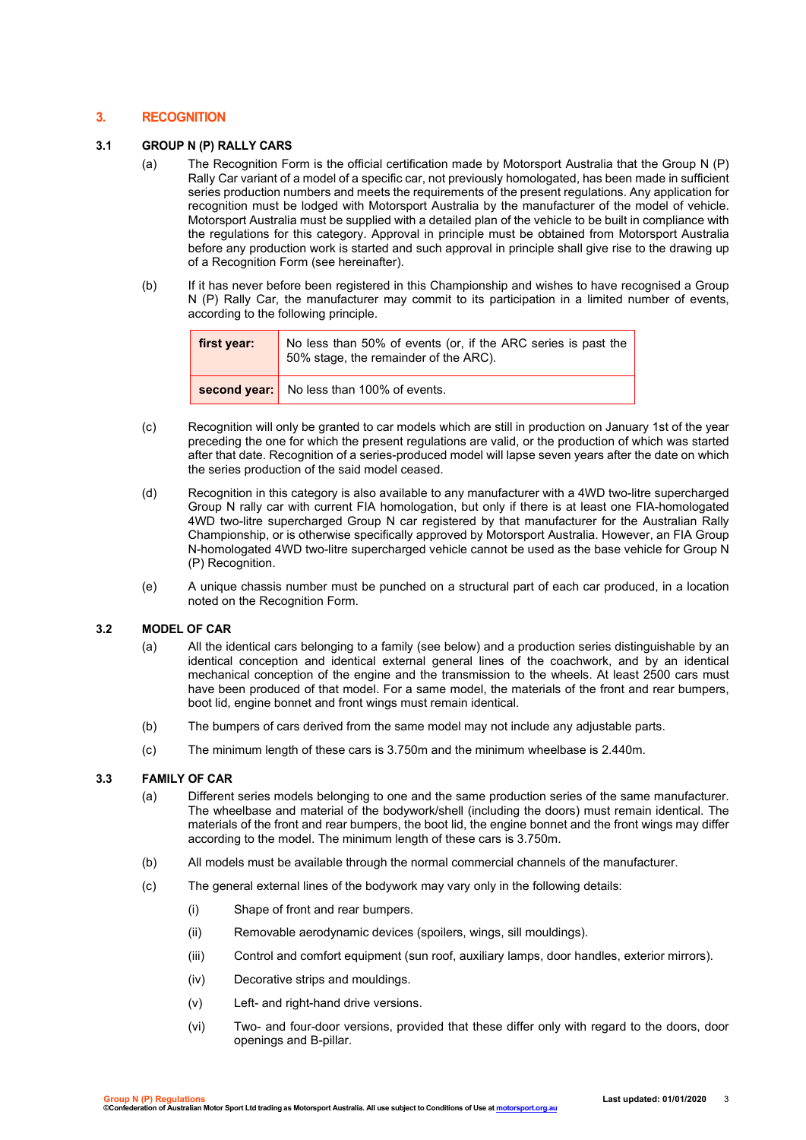#### **3. RECOGNITION**

#### **3.1 GROUP N (P) RALLY CARS**

- (a) The Recognition Form is the official certification made by Motorsport Australia that the Group N (P) Rally Car variant of a model of a specific car, not previously homologated, has been made in sufficient series production numbers and meets the requirements of the present regulations. Any application for recognition must be lodged with Motorsport Australia by the manufacturer of the model of vehicle. Motorsport Australia must be supplied with a detailed plan of the vehicle to be built in compliance with the regulations for this category. Approval in principle must be obtained from Motorsport Australia before any production work is started and such approval in principle shall give rise to the drawing up of a Recognition Form (see hereinafter).
- (b) If it has never before been registered in this Championship and wishes to have recognised a Group N (P) Rally Car, the manufacturer may commit to its participation in a limited number of events, according to the following principle.

| first year: | No less than 50% of events (or, if the ARC series is past the<br>50% stage, the remainder of the ARC). |
|-------------|--------------------------------------------------------------------------------------------------------|
|             | second year: No less than 100% of events.                                                              |

- (c) Recognition will only be granted to car models which are still in production on January 1st of the year preceding the one for which the present regulations are valid, or the production of which was started after that date. Recognition of a series-produced model will lapse seven years after the date on which the series production of the said model ceased.
- (d) Recognition in this category is also available to any manufacturer with a 4WD two-litre supercharged Group N rally car with current FIA homologation, but only if there is at least one FIA-homologated 4WD two-litre supercharged Group N car registered by that manufacturer for the Australian Rally Championship, or is otherwise specifically approved by Motorsport Australia. However, an FIA Group N-homologated 4WD two-litre supercharged vehicle cannot be used as the base vehicle for Group N (P) Recognition.
- (e) A unique chassis number must be punched on a structural part of each car produced, in a location noted on the Recognition Form.

#### **3.2 MODEL OF CAR**

- (a) All the identical cars belonging to a family (see below) and a production series distinguishable by an identical conception and identical external general lines of the coachwork, and by an identical mechanical conception of the engine and the transmission to the wheels. At least 2500 cars must have been produced of that model. For a same model, the materials of the front and rear bumpers, boot lid, engine bonnet and front wings must remain identical.
- (b) The bumpers of cars derived from the same model may not include any adjustable parts.
- (c) The minimum length of these cars is 3.750m and the minimum wheelbase is 2.440m.

#### **3.3 FAMILY OF CAR**

- (a) Different series models belonging to one and the same production series of the same manufacturer. The wheelbase and material of the bodywork/shell (including the doors) must remain identical. The materials of the front and rear bumpers, the boot lid, the engine bonnet and the front wings may differ according to the model. The minimum length of these cars is 3.750m.
- (b) All models must be available through the normal commercial channels of the manufacturer.
- (c) The general external lines of the bodywork may vary only in the following details:
	- (i) Shape of front and rear bumpers.
	- (ii) Removable aerodynamic devices (spoilers, wings, sill mouldings).
	- (iii) Control and comfort equipment (sun roof, auxiliary lamps, door handles, exterior mirrors).
	- (iv) Decorative strips and mouldings.
	- (v) Left- and right-hand drive versions.
	- (vi) Two- and four-door versions, provided that these differ only with regard to the doors, door openings and B-pillar.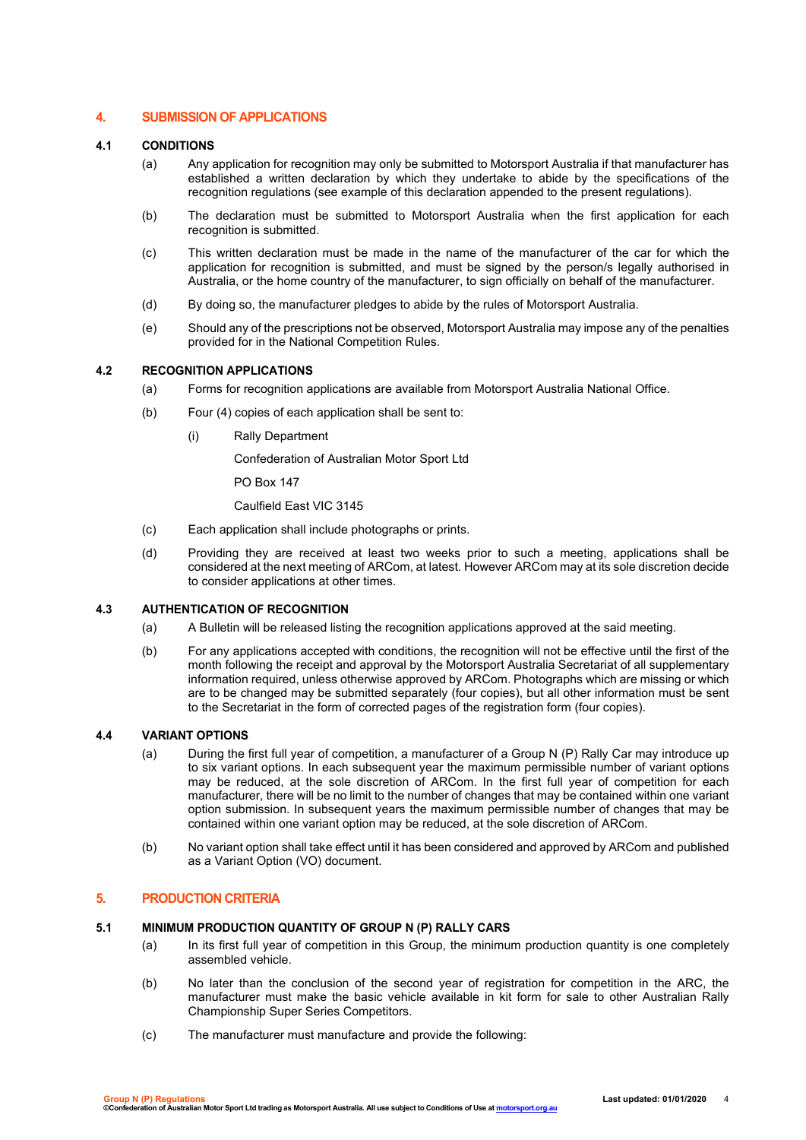#### **4. SUBMISSION OF APPLICATIONS**

#### **4.1 CONDITIONS**

- (a) Any application for recognition may only be submitted to Motorsport Australia if that manufacturer has established a written declaration by which they undertake to abide by the specifications of the recognition regulations (see example of this declaration appended to the present regulations).
- (b) The declaration must be submitted to Motorsport Australia when the first application for each recognition is submitted.
- (c) This written declaration must be made in the name of the manufacturer of the car for which the application for recognition is submitted, and must be signed by the person/s legally authorised in Australia, or the home country of the manufacturer, to sign officially on behalf of the manufacturer.
- (d) By doing so, the manufacturer pledges to abide by the rules of Motorsport Australia.
- (e) Should any of the prescriptions not be observed, Motorsport Australia may impose any of the penalties provided for in the National Competition Rules.

#### **4.2 RECOGNITION APPLICATIONS**

- (a) Forms for recognition applications are available from Motorsport Australia National Office.
- (b) Four (4) copies of each application shall be sent to:
	- (i) Rally Department

Confederation of Australian Motor Sport Ltd

PO Box 147

Caulfield East VIC 3145

- (c) Each application shall include photographs or prints.
- (d) Providing they are received at least two weeks prior to such a meeting, applications shall be considered at the next meeting of ARCom, at latest. However ARCom may at its sole discretion decide to consider applications at other times.

#### **4.3 AUTHENTICATION OF RECOGNITION**

- (a) A Bulletin will be released listing the recognition applications approved at the said meeting.
- (b) For any applications accepted with conditions, the recognition will not be effective until the first of the month following the receipt and approval by the Motorsport Australia Secretariat of all supplementary information required, unless otherwise approved by ARCom. Photographs which are missing or which are to be changed may be submitted separately (four copies), but all other information must be sent to the Secretariat in the form of corrected pages of the registration form (four copies).

#### **4.4 VARIANT OPTIONS**

- (a) During the first full year of competition, a manufacturer of a Group N (P) Rally Car may introduce up to six variant options. In each subsequent year the maximum permissible number of variant options may be reduced, at the sole discretion of ARCom. In the first full year of competition for each manufacturer, there will be no limit to the number of changes that may be contained within one variant option submission. In subsequent years the maximum permissible number of changes that may be contained within one variant option may be reduced, at the sole discretion of ARCom.
- (b) No variant option shall take effect until it has been considered and approved by ARCom and published as a Variant Option (VO) document.

#### **5. PRODUCTION CRITERIA**

#### **5.1 MINIMUM PRODUCTION QUANTITY OF GROUP N (P) RALLY CARS**

- (a) In its first full year of competition in this Group, the minimum production quantity is one completely assembled vehicle.
- (b) No later than the conclusion of the second year of registration for competition in the ARC, the manufacturer must make the basic vehicle available in kit form for sale to other Australian Rally Championship Super Series Competitors.
- (c) The manufacturer must manufacture and provide the following: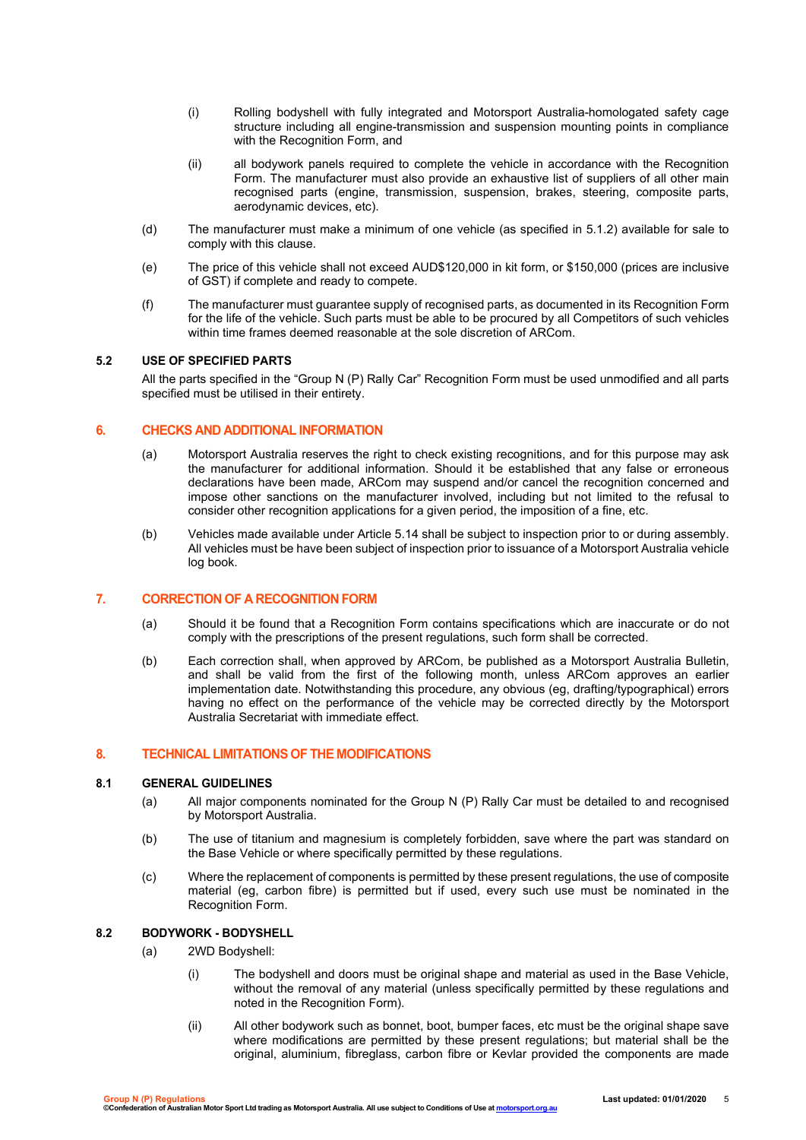- (i) Rolling bodyshell with fully integrated and Motorsport Australia-homologated safety cage structure including all engine-transmission and suspension mounting points in compliance with the Recognition Form, and
- (ii) all bodywork panels required to complete the vehicle in accordance with the Recognition Form. The manufacturer must also provide an exhaustive list of suppliers of all other main recognised parts (engine, transmission, suspension, brakes, steering, composite parts, aerodynamic devices, etc).
- (d) The manufacturer must make a minimum of one vehicle (as specified in 5.1.2) available for sale to comply with this clause.
- (e) The price of this vehicle shall not exceed AUD\$120,000 in kit form, or \$150,000 (prices are inclusive of GST) if complete and ready to compete.
- (f) The manufacturer must guarantee supply of recognised parts, as documented in its Recognition Form for the life of the vehicle. Such parts must be able to be procured by all Competitors of such vehicles within time frames deemed reasonable at the sole discretion of ARCom.

#### **5.2 USE OF SPECIFIED PARTS**

All the parts specified in the "Group N (P) Rally Car" Recognition Form must be used unmodified and all parts specified must be utilised in their entirety.

#### **6. CHECKS AND ADDITIONAL INFORMATION**

- (a) Motorsport Australia reserves the right to check existing recognitions, and for this purpose may ask the manufacturer for additional information. Should it be established that any false or erroneous declarations have been made, ARCom may suspend and/or cancel the recognition concerned and impose other sanctions on the manufacturer involved, including but not limited to the refusal to consider other recognition applications for a given period, the imposition of a fine, etc.
- (b) Vehicles made available under Article 5.14 shall be subject to inspection prior to or during assembly. All vehicles must be have been subject of inspection prior to issuance of a Motorsport Australia vehicle log book.

#### **7. CORRECTION OF A RECOGNITION FORM**

- (a) Should it be found that a Recognition Form contains specifications which are inaccurate or do not comply with the prescriptions of the present regulations, such form shall be corrected.
- (b) Each correction shall, when approved by ARCom, be published as a Motorsport Australia Bulletin, and shall be valid from the first of the following month, unless ARCom approves an earlier implementation date. Notwithstanding this procedure, any obvious (eg, drafting/typographical) errors having no effect on the performance of the vehicle may be corrected directly by the Motorsport Australia Secretariat with immediate effect.

#### **8. TECHNICAL LIMITATIONS OF THE MODIFICATIONS**

#### **8.1 GENERAL GUIDELINES**

- (a) All major components nominated for the Group N (P) Rally Car must be detailed to and recognised by Motorsport Australia.
- (b) The use of titanium and magnesium is completely forbidden, save where the part was standard on the Base Vehicle or where specifically permitted by these regulations.
- (c) Where the replacement of components is permitted by these present regulations, the use of composite material (eg, carbon fibre) is permitted but if used, every such use must be nominated in the Recognition Form.

#### **8.2 BODYWORK - BODYSHELL**

- (a) 2WD Bodyshell:
	- (i) The bodyshell and doors must be original shape and material as used in the Base Vehicle, without the removal of any material (unless specifically permitted by these regulations and noted in the Recognition Form).
	- (ii) All other bodywork such as bonnet, boot, bumper faces, etc must be the original shape save where modifications are permitted by these present regulations; but material shall be the original, aluminium, fibreglass, carbon fibre or Kevlar provided the components are made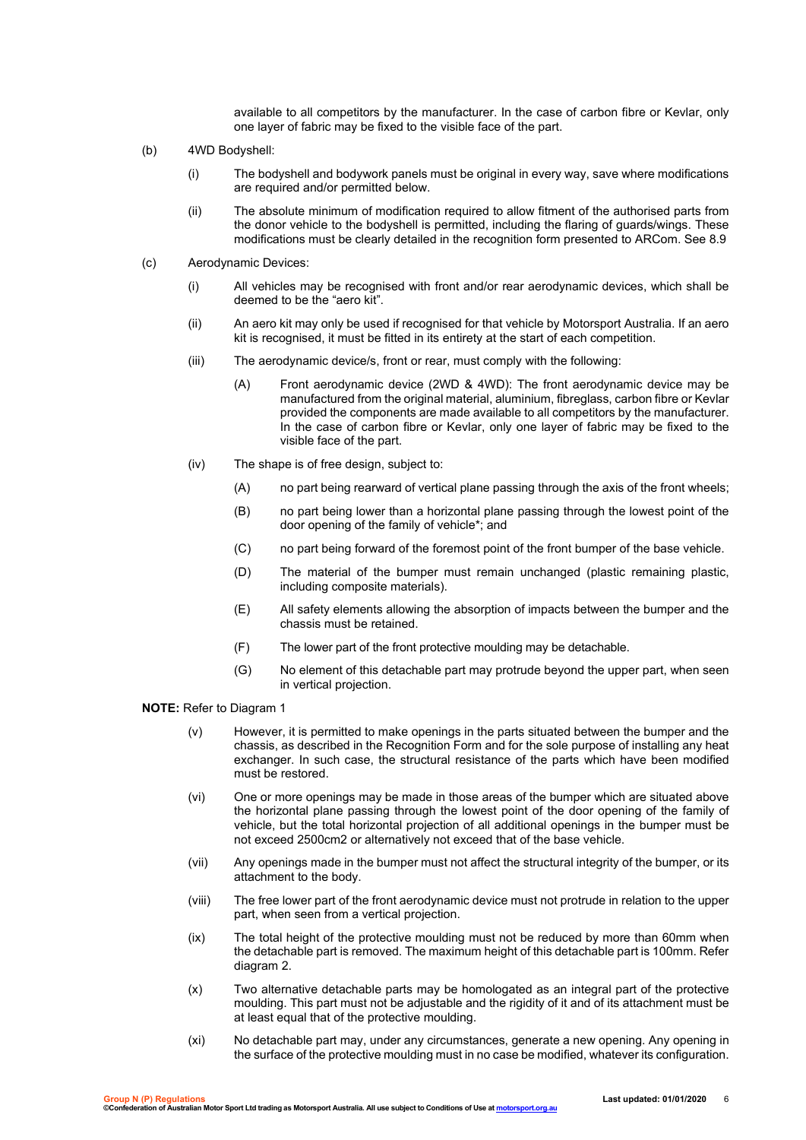available to all competitors by the manufacturer. In the case of carbon fibre or Kevlar, only one layer of fabric may be fixed to the visible face of the part.

- (b) 4WD Bodyshell:
	- (i) The bodyshell and bodywork panels must be original in every way, save where modifications are required and/or permitted below.
	- (ii) The absolute minimum of modification required to allow fitment of the authorised parts from the donor vehicle to the bodyshell is permitted, including the flaring of guards/wings. These modifications must be clearly detailed in the recognition form presented to ARCom. See 8.9
- (c) Aerodynamic Devices:
	- (i) All vehicles may be recognised with front and/or rear aerodynamic devices, which shall be deemed to be the "aero kit".
	- (ii) An aero kit may only be used if recognised for that vehicle by Motorsport Australia. If an aero kit is recognised, it must be fitted in its entirety at the start of each competition.
	- (iii) The aerodynamic device/s, front or rear, must comply with the following:
		- (A) Front aerodynamic device (2WD & 4WD): The front aerodynamic device may be manufactured from the original material, aluminium, fibreglass, carbon fibre or Kevlar provided the components are made available to all competitors by the manufacturer. In the case of carbon fibre or Kevlar, only one layer of fabric may be fixed to the visible face of the part.
	- (iv) The shape is of free design, subject to:
		- (A) no part being rearward of vertical plane passing through the axis of the front wheels;
		- (B) no part being lower than a horizontal plane passing through the lowest point of the door opening of the family of vehicle\*; and
		- (C) no part being forward of the foremost point of the front bumper of the base vehicle.
		- (D) The material of the bumper must remain unchanged (plastic remaining plastic, including composite materials).
		- (E) All safety elements allowing the absorption of impacts between the bumper and the chassis must be retained.
		- (F) The lower part of the front protective moulding may be detachable.
		- (G) No element of this detachable part may protrude beyond the upper part, when seen in vertical projection.

#### **NOTE:** Refer to Diagram 1

- (v) However, it is permitted to make openings in the parts situated between the bumper and the chassis, as described in the Recognition Form and for the sole purpose of installing any heat exchanger. In such case, the structural resistance of the parts which have been modified must be restored.
- (vi) One or more openings may be made in those areas of the bumper which are situated above the horizontal plane passing through the lowest point of the door opening of the family of vehicle, but the total horizontal projection of all additional openings in the bumper must be not exceed 2500cm2 or alternatively not exceed that of the base vehicle.
- (vii) Any openings made in the bumper must not affect the structural integrity of the bumper, or its attachment to the body.
- (viii) The free lower part of the front aerodynamic device must not protrude in relation to the upper part, when seen from a vertical projection.
- (ix) The total height of the protective moulding must not be reduced by more than 60mm when the detachable part is removed. The maximum height of this detachable part is 100mm. Refer diagram 2.
- (x) Two alternative detachable parts may be homologated as an integral part of the protective moulding. This part must not be adjustable and the rigidity of it and of its attachment must be at least equal that of the protective moulding.
- (xi) No detachable part may, under any circumstances, generate a new opening. Any opening in the surface of the protective moulding must in no case be modified, whatever its configuration.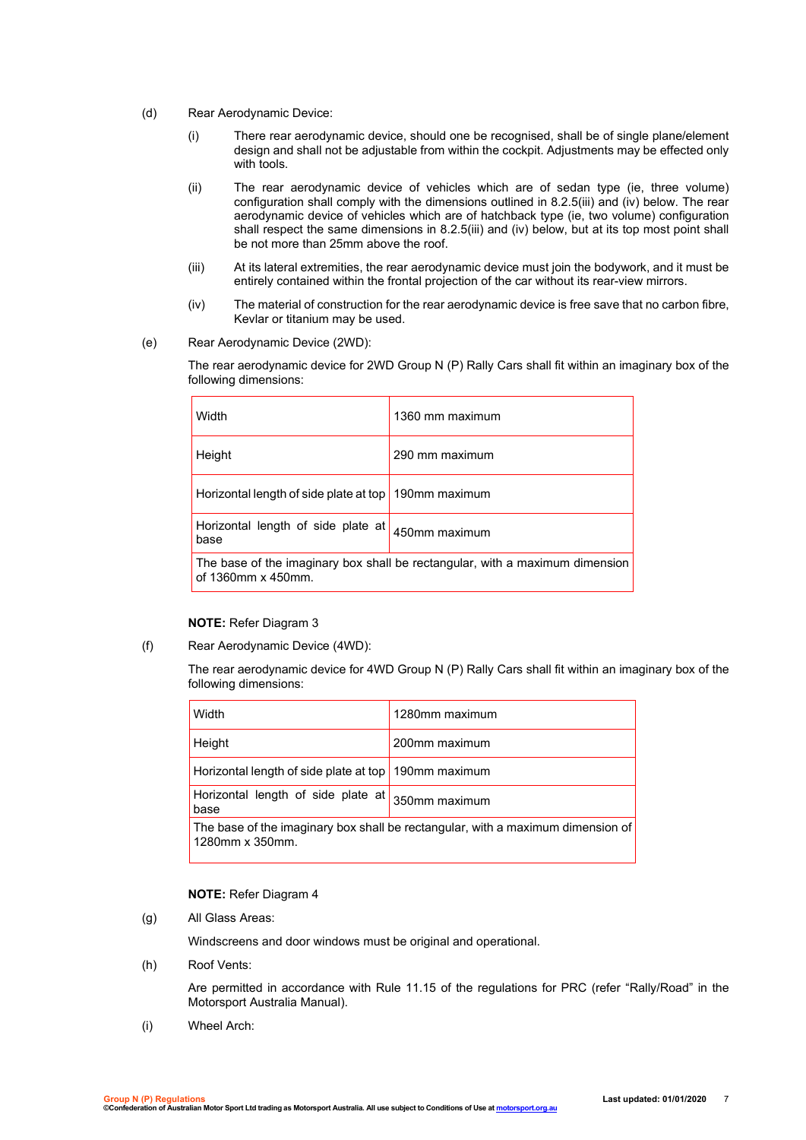- (d) Rear Aerodynamic Device:
	- (i) There rear aerodynamic device, should one be recognised, shall be of single plane/element design and shall not be adjustable from within the cockpit. Adjustments may be effected only with tools.
	- (ii) The rear aerodynamic device of vehicles which are of sedan type (ie, three volume) configuration shall comply with the dimensions outlined in 8.2.5(iii) and (iv) below. The rear aerodynamic device of vehicles which are of hatchback type (ie, two volume) configuration shall respect the same dimensions in 8.2.5(iii) and (iv) below, but at its top most point shall be not more than 25mm above the roof.
	- (iii) At its lateral extremities, the rear aerodynamic device must join the bodywork, and it must be entirely contained within the frontal projection of the car without its rear-view mirrors.
	- (iv) The material of construction for the rear aerodynamic device is free save that no carbon fibre, Kevlar or titanium may be used.
- (e) Rear Aerodynamic Device (2WD):

The rear aerodynamic device for 2WD Group N (P) Rally Cars shall fit within an imaginary box of the following dimensions:

| Width                                                                                              | 1360 mm maximum |
|----------------------------------------------------------------------------------------------------|-----------------|
| Height                                                                                             | 290 mm maximum  |
| Horizontal length of side plate at top                                                             | 190mm maximum   |
| Horizontal length of side plate at<br>base                                                         | 450mm maximum   |
| The base of the imaginary box shall be rectangular, with a maximum dimension<br>of 1360mm x 450mm. |                 |

#### **NOTE:** Refer Diagram 3

(f) Rear Aerodynamic Device (4WD):

The rear aerodynamic device for 4WD Group N (P) Rally Cars shall fit within an imaginary box of the following dimensions:

| Width                                                                                              | 1280mm maximum |
|----------------------------------------------------------------------------------------------------|----------------|
| Height                                                                                             | 200mm maximum  |
| Horizontal length of side plate at top 190mm maximum                                               |                |
| Horizontal length of side plate at<br>base                                                         | 350mm maximum  |
| The base of the imaginary box shall be rectangular, with a maximum dimension of<br>1280mm x 350mm. |                |

#### **NOTE:** Refer Diagram 4

(g) All Glass Areas:

Windscreens and door windows must be original and operational.

(h) Roof Vents:

Are permitted in accordance with Rule 11.15 of the regulations for PRC (refer "Rally/Road" in the Motorsport Australia Manual).

(i) Wheel Arch: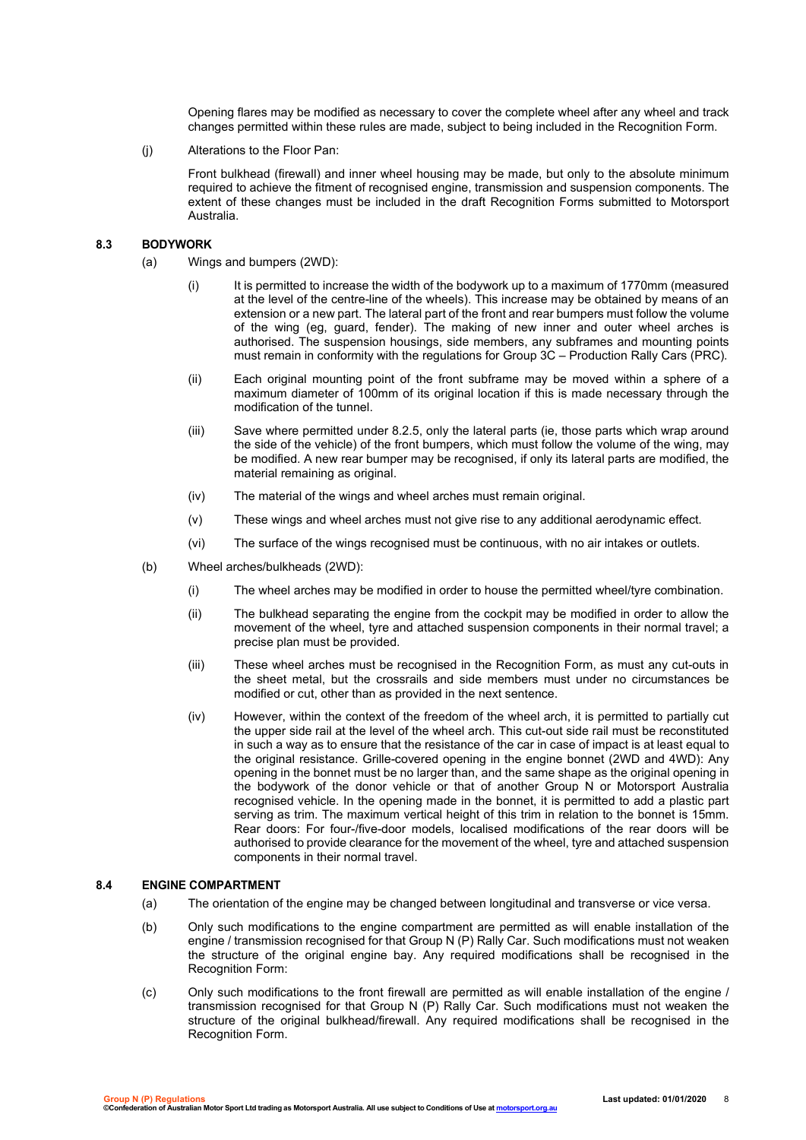Opening flares may be modified as necessary to cover the complete wheel after any wheel and track changes permitted within these rules are made, subject to being included in the Recognition Form.

(j) Alterations to the Floor Pan:

Front bulkhead (firewall) and inner wheel housing may be made, but only to the absolute minimum required to achieve the fitment of recognised engine, transmission and suspension components. The extent of these changes must be included in the draft Recognition Forms submitted to Motorsport Australia.

#### **8.3 BODYWORK**

- (a) Wings and bumpers (2WD):
	- (i) It is permitted to increase the width of the bodywork up to a maximum of 1770mm (measured at the level of the centre-line of the wheels). This increase may be obtained by means of an extension or a new part. The lateral part of the front and rear bumpers must follow the volume of the wing (eg, guard, fender). The making of new inner and outer wheel arches is authorised. The suspension housings, side members, any subframes and mounting points must remain in conformity with the regulations for Group 3C – Production Rally Cars (PRC).
	- (ii) Each original mounting point of the front subframe may be moved within a sphere of a maximum diameter of 100mm of its original location if this is made necessary through the modification of the tunnel.
	- (iii) Save where permitted under 8.2.5, only the lateral parts (ie, those parts which wrap around the side of the vehicle) of the front bumpers, which must follow the volume of the wing, may be modified. A new rear bumper may be recognised, if only its lateral parts are modified, the material remaining as original.
	- (iv) The material of the wings and wheel arches must remain original.
	- (v) These wings and wheel arches must not give rise to any additional aerodynamic effect.
	- (vi) The surface of the wings recognised must be continuous, with no air intakes or outlets.
- (b) Wheel arches/bulkheads (2WD):
	- (i) The wheel arches may be modified in order to house the permitted wheel/tyre combination.
	- (ii) The bulkhead separating the engine from the cockpit may be modified in order to allow the movement of the wheel, tyre and attached suspension components in their normal travel; a precise plan must be provided.
	- (iii) These wheel arches must be recognised in the Recognition Form, as must any cut-outs in the sheet metal, but the crossrails and side members must under no circumstances be modified or cut, other than as provided in the next sentence.
	- (iv) However, within the context of the freedom of the wheel arch, it is permitted to partially cut the upper side rail at the level of the wheel arch. This cut-out side rail must be reconstituted in such a way as to ensure that the resistance of the car in case of impact is at least equal to the original resistance. Grille-covered opening in the engine bonnet (2WD and 4WD): Any opening in the bonnet must be no larger than, and the same shape as the original opening in the bodywork of the donor vehicle or that of another Group N or Motorsport Australia recognised vehicle. In the opening made in the bonnet, it is permitted to add a plastic part serving as trim. The maximum vertical height of this trim in relation to the bonnet is 15mm. Rear doors: For four-/five-door models, localised modifications of the rear doors will be authorised to provide clearance for the movement of the wheel, tyre and attached suspension components in their normal travel.

#### **8.4 ENGINE COMPARTMENT**

- (a) The orientation of the engine may be changed between longitudinal and transverse or vice versa.
- (b) Only such modifications to the engine compartment are permitted as will enable installation of the engine / transmission recognised for that Group N (P) Rally Car. Such modifications must not weaken the structure of the original engine bay. Any required modifications shall be recognised in the Recognition Form:
- (c) Only such modifications to the front firewall are permitted as will enable installation of the engine / transmission recognised for that Group N (P) Rally Car. Such modifications must not weaken the structure of the original bulkhead/firewall. Any required modifications shall be recognised in the Recognition Form.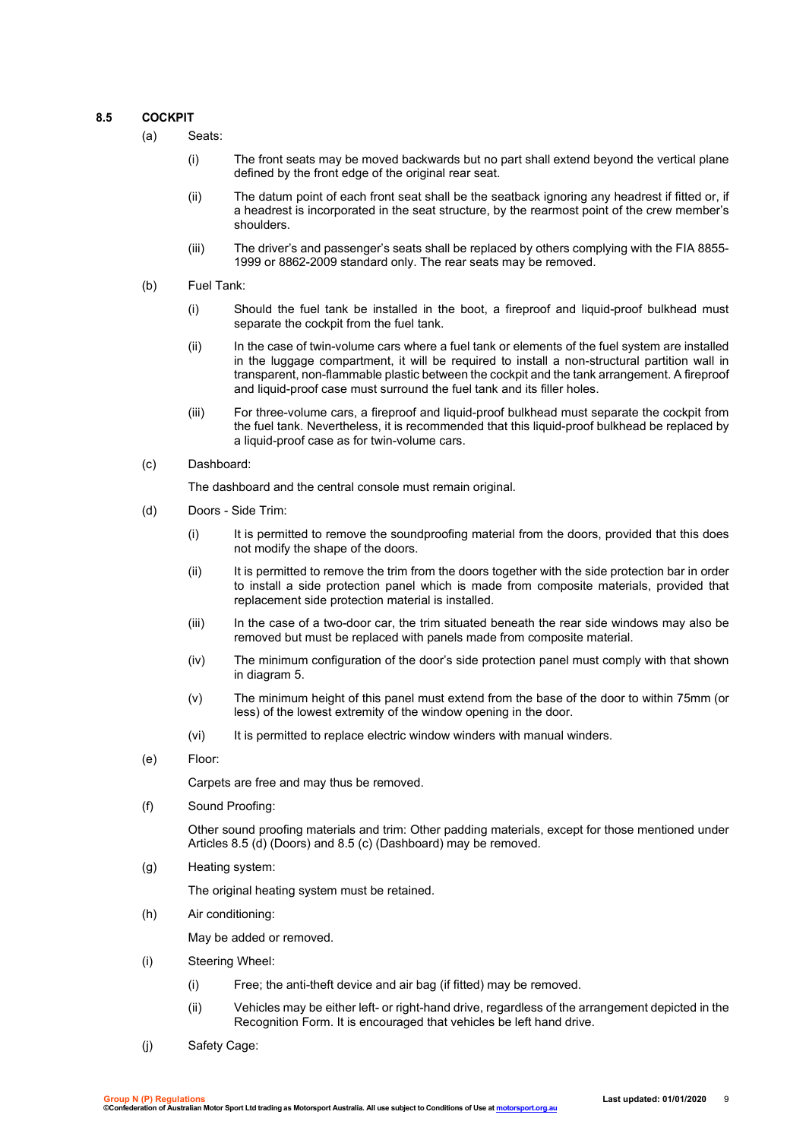#### **8.5 COCKPIT**

(a) Seats:

- (i) The front seats may be moved backwards but no part shall extend beyond the vertical plane defined by the front edge of the original rear seat.
- (ii) The datum point of each front seat shall be the seatback ignoring any headrest if fitted or, if a headrest is incorporated in the seat structure, by the rearmost point of the crew member's shoulders.
- (iii) The driver's and passenger's seats shall be replaced by others complying with the FIA 8855- 1999 or 8862-2009 standard only. The rear seats may be removed.
- (b) Fuel Tank:
	- (i) Should the fuel tank be installed in the boot, a fireproof and liquid-proof bulkhead must separate the cockpit from the fuel tank.
	- (ii) In the case of twin-volume cars where a fuel tank or elements of the fuel system are installed in the luggage compartment, it will be required to install a non-structural partition wall in transparent, non-flammable plastic between the cockpit and the tank arrangement. A fireproof and liquid-proof case must surround the fuel tank and its filler holes.
	- (iii) For three-volume cars, a fireproof and liquid-proof bulkhead must separate the cockpit from the fuel tank. Nevertheless, it is recommended that this liquid-proof bulkhead be replaced by a liquid-proof case as for twin-volume cars.
- (c) Dashboard:

The dashboard and the central console must remain original.

- (d) Doors Side Trim:
	- (i) It is permitted to remove the soundproofing material from the doors, provided that this does not modify the shape of the doors.
	- (ii) It is permitted to remove the trim from the doors together with the side protection bar in order to install a side protection panel which is made from composite materials, provided that replacement side protection material is installed.
	- (iii) In the case of a two-door car, the trim situated beneath the rear side windows may also be removed but must be replaced with panels made from composite material.
	- (iv) The minimum configuration of the door's side protection panel must comply with that shown in diagram 5.
	- (v) The minimum height of this panel must extend from the base of the door to within 75mm (or less) of the lowest extremity of the window opening in the door.
	- (vi) It is permitted to replace electric window winders with manual winders.
- (e) Floor:

Carpets are free and may thus be removed.

(f) Sound Proofing:

Other sound proofing materials and trim: Other padding materials, except for those mentioned under Articles 8.5 (d) (Doors) and 8.5 (c) (Dashboard) may be removed.

(g) Heating system:

The original heating system must be retained.

(h) Air conditioning:

May be added or removed.

- (i) Steering Wheel:
	- (i) Free; the anti-theft device and air bag (if fitted) may be removed.
	- (ii) Vehicles may be either left- or right-hand drive, regardless of the arrangement depicted in the Recognition Form. It is encouraged that vehicles be left hand drive.
- (j) Safety Cage: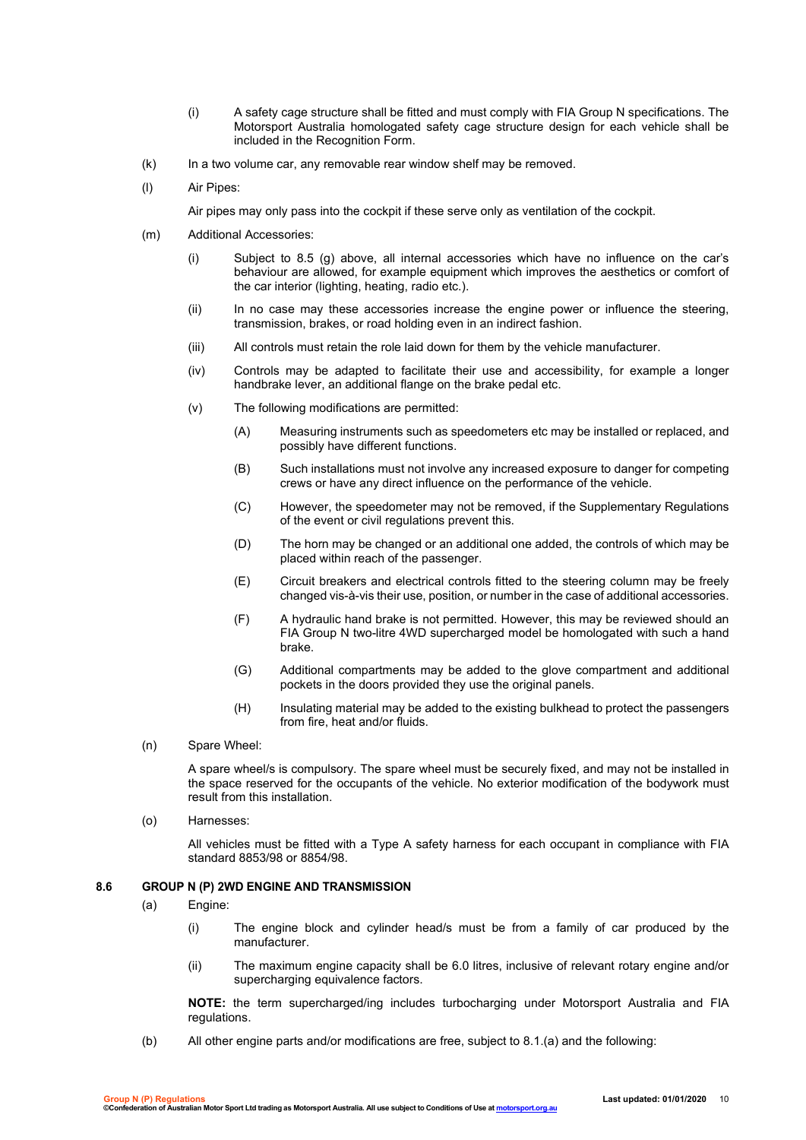- (i) A safety cage structure shall be fitted and must comply with FIA Group N specifications. The Motorsport Australia homologated safety cage structure design for each vehicle shall be included in the Recognition Form.
- (k) In a two volume car, any removable rear window shelf may be removed.
- (l) Air Pipes:
	- Air pipes may only pass into the cockpit if these serve only as ventilation of the cockpit.
- (m) Additional Accessories:
	- (i) Subject to 8.5 (g) above, all internal accessories which have no influence on the car's behaviour are allowed, for example equipment which improves the aesthetics or comfort of the car interior (lighting, heating, radio etc.).
	- (ii) In no case may these accessories increase the engine power or influence the steering, transmission, brakes, or road holding even in an indirect fashion.
	- (iii) All controls must retain the role laid down for them by the vehicle manufacturer.
	- (iv) Controls may be adapted to facilitate their use and accessibility, for example a longer handbrake lever, an additional flange on the brake pedal etc.
	- (v) The following modifications are permitted:
		- (A) Measuring instruments such as speedometers etc may be installed or replaced, and possibly have different functions.
		- (B) Such installations must not involve any increased exposure to danger for competing crews or have any direct influence on the performance of the vehicle.
		- (C) However, the speedometer may not be removed, if the Supplementary Regulations of the event or civil regulations prevent this.
		- (D) The horn may be changed or an additional one added, the controls of which may be placed within reach of the passenger.
		- (E) Circuit breakers and electrical controls fitted to the steering column may be freely changed vis-à-vis their use, position, or number in the case of additional accessories.
		- (F) A hydraulic hand brake is not permitted. However, this may be reviewed should an FIA Group N two-litre 4WD supercharged model be homologated with such a hand brake.
		- (G) Additional compartments may be added to the glove compartment and additional pockets in the doors provided they use the original panels.
		- (H) Insulating material may be added to the existing bulkhead to protect the passengers from fire, heat and/or fluids.
- (n) Spare Wheel:

A spare wheel/s is compulsory. The spare wheel must be securely fixed, and may not be installed in the space reserved for the occupants of the vehicle. No exterior modification of the bodywork must result from this installation.

(o) Harnesses:

All vehicles must be fitted with a Type A safety harness for each occupant in compliance with FIA standard 8853/98 or 8854/98.

#### **8.6 GROUP N (P) 2WD ENGINE AND TRANSMISSION**

- (a) Engine:
	- (i) The engine block and cylinder head/s must be from a family of car produced by the manufacturer.
	- (ii) The maximum engine capacity shall be 6.0 litres, inclusive of relevant rotary engine and/or supercharging equivalence factors.

**NOTE:** the term supercharged/ing includes turbocharging under Motorsport Australia and FIA regulations.

(b) All other engine parts and/or modifications are free, subject to 8.1.(a) and the following: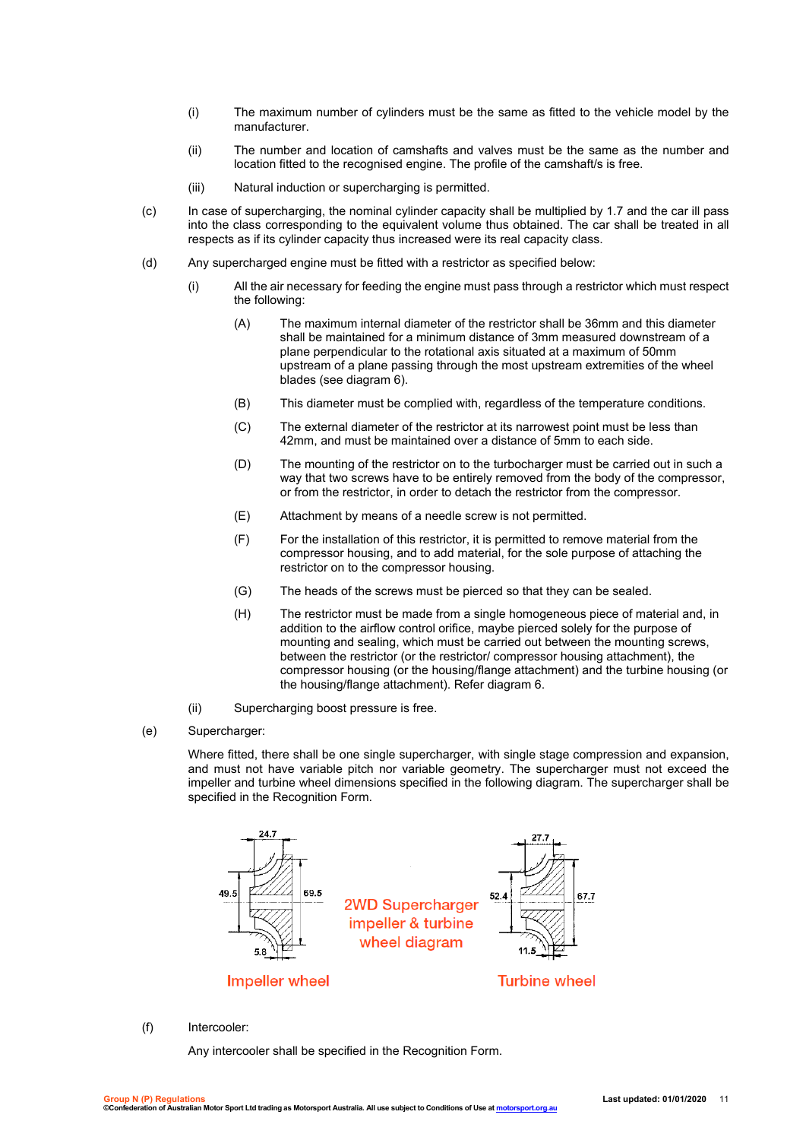- (i) The maximum number of cylinders must be the same as fitted to the vehicle model by the manufacturer.
- (ii) The number and location of camshafts and valves must be the same as the number and location fitted to the recognised engine. The profile of the camshaft/s is free.
- (iii) Natural induction or supercharging is permitted.
- (c) In case of supercharging, the nominal cylinder capacity shall be multiplied by 1.7 and the car ill pass into the class corresponding to the equivalent volume thus obtained. The car shall be treated in all respects as if its cylinder capacity thus increased were its real capacity class.
- (d) Any supercharged engine must be fitted with a restrictor as specified below:
	- (i) All the air necessary for feeding the engine must pass through a restrictor which must respect the following:
		- (A) The maximum internal diameter of the restrictor shall be 36mm and this diameter shall be maintained for a minimum distance of 3mm measured downstream of a plane perpendicular to the rotational axis situated at a maximum of 50mm upstream of a plane passing through the most upstream extremities of the wheel blades (see diagram 6).
		- (B) This diameter must be complied with, regardless of the temperature conditions.
		- (C) The external diameter of the restrictor at its narrowest point must be less than 42mm, and must be maintained over a distance of 5mm to each side.
		- (D) The mounting of the restrictor on to the turbocharger must be carried out in such a way that two screws have to be entirely removed from the body of the compressor, or from the restrictor, in order to detach the restrictor from the compressor.
		- (E) Attachment by means of a needle screw is not permitted.
		- (F) For the installation of this restrictor, it is permitted to remove material from the compressor housing, and to add material, for the sole purpose of attaching the restrictor on to the compressor housing.
		- (G) The heads of the screws must be pierced so that they can be sealed.
		- (H) The restrictor must be made from a single homogeneous piece of material and, in addition to the airflow control orifice, maybe pierced solely for the purpose of mounting and sealing, which must be carried out between the mounting screws, between the restrictor (or the restrictor/ compressor housing attachment), the compressor housing (or the housing/flange attachment) and the turbine housing (or the housing/flange attachment). Refer diagram 6.
	- (ii) Supercharging boost pressure is free.
- (e) Supercharger:

Where fitted, there shall be one single supercharger, with single stage compression and expansion, and must not have variable pitch nor variable geometry. The supercharger must not exceed the impeller and turbine wheel dimensions specified in the following diagram. The supercharger shall be specified in the Recognition Form.



#### (f) Intercooler:

Any intercooler shall be specified in the Recognition Form.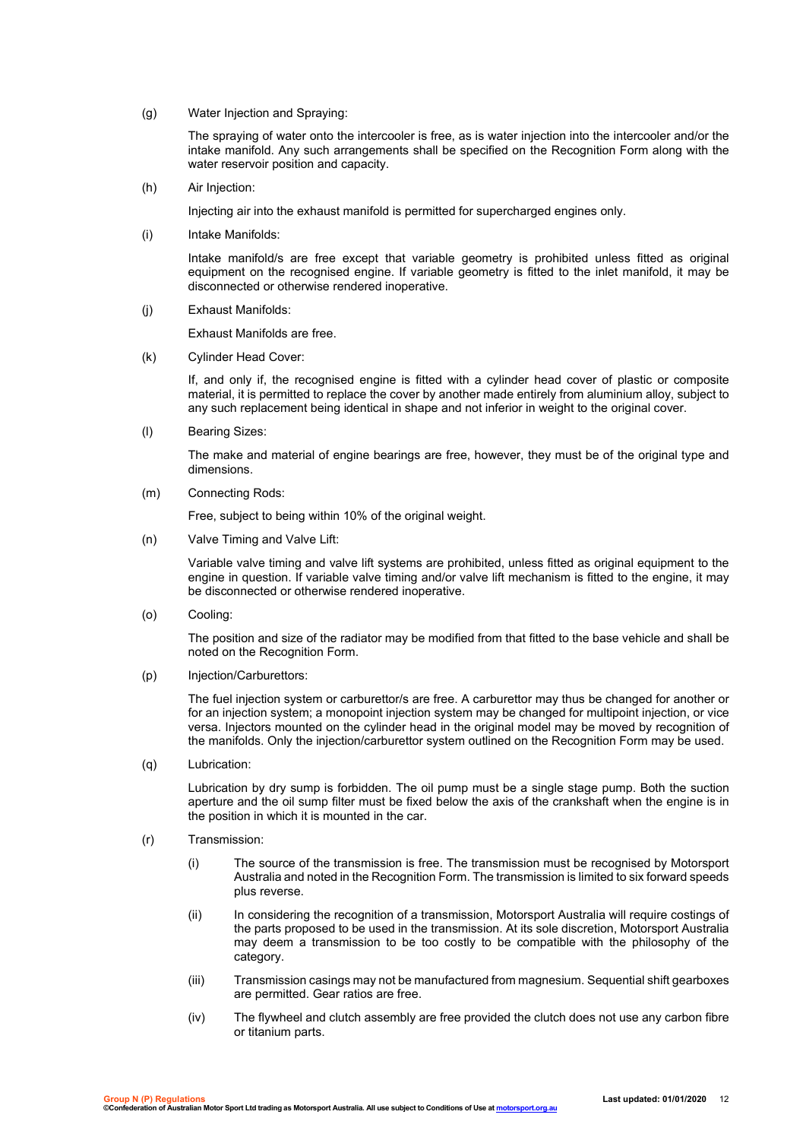(g) Water Injection and Spraying:

The spraying of water onto the intercooler is free, as is water injection into the intercooler and/or the intake manifold. Any such arrangements shall be specified on the Recognition Form along with the water reservoir position and capacity.

(h) Air Injection:

Injecting air into the exhaust manifold is permitted for supercharged engines only.

(i) Intake Manifolds:

Intake manifold/s are free except that variable geometry is prohibited unless fitted as original equipment on the recognised engine. If variable geometry is fitted to the inlet manifold, it may be disconnected or otherwise rendered inoperative.

(j) Exhaust Manifolds:

Exhaust Manifolds are free.

(k) Cylinder Head Cover:

If, and only if, the recognised engine is fitted with a cylinder head cover of plastic or composite material, it is permitted to replace the cover by another made entirely from aluminium alloy, subject to any such replacement being identical in shape and not inferior in weight to the original cover.

(l) Bearing Sizes:

The make and material of engine bearings are free, however, they must be of the original type and dimensions.

(m) Connecting Rods:

Free, subject to being within 10% of the original weight.

(n) Valve Timing and Valve Lift:

Variable valve timing and valve lift systems are prohibited, unless fitted as original equipment to the engine in question. If variable valve timing and/or valve lift mechanism is fitted to the engine, it may be disconnected or otherwise rendered inoperative.

(o) Cooling:

The position and size of the radiator may be modified from that fitted to the base vehicle and shall be noted on the Recognition Form.

(p) Injection/Carburettors:

The fuel injection system or carburettor/s are free. A carburettor may thus be changed for another or for an injection system; a monopoint injection system may be changed for multipoint injection, or vice versa. Injectors mounted on the cylinder head in the original model may be moved by recognition of the manifolds. Only the injection/carburettor system outlined on the Recognition Form may be used.

(q) Lubrication:

Lubrication by dry sump is forbidden. The oil pump must be a single stage pump. Both the suction aperture and the oil sump filter must be fixed below the axis of the crankshaft when the engine is in the position in which it is mounted in the car.

- (r) Transmission:
	- (i) The source of the transmission is free. The transmission must be recognised by Motorsport Australia and noted in the Recognition Form. The transmission is limited to six forward speeds plus reverse.
	- (ii) In considering the recognition of a transmission, Motorsport Australia will require costings of the parts proposed to be used in the transmission. At its sole discretion, Motorsport Australia may deem a transmission to be too costly to be compatible with the philosophy of the category.
	- (iii) Transmission casings may not be manufactured from magnesium. Sequential shift gearboxes are permitted. Gear ratios are free.
	- (iv) The flywheel and clutch assembly are free provided the clutch does not use any carbon fibre or titanium parts.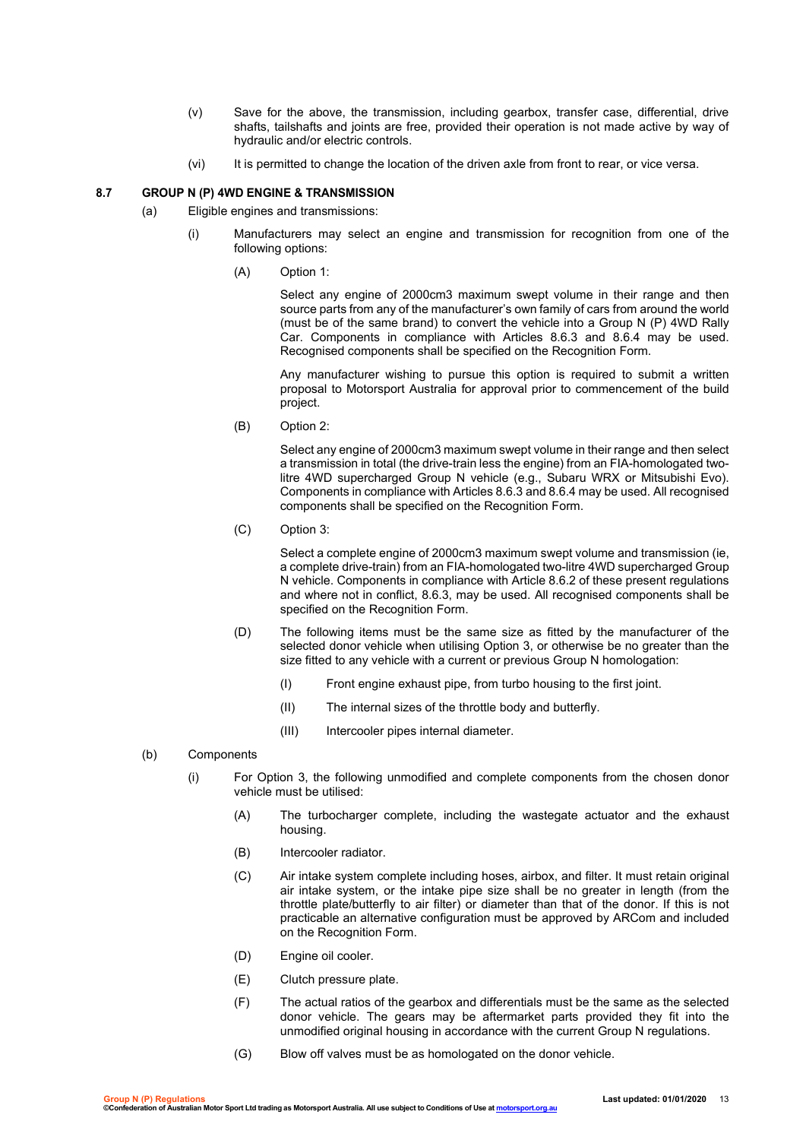- (v) Save for the above, the transmission, including gearbox, transfer case, differential, drive shafts, tailshafts and joints are free, provided their operation is not made active by way of hydraulic and/or electric controls.
- (vi) It is permitted to change the location of the driven axle from front to rear, or vice versa.

#### **8.7 GROUP N (P) 4WD ENGINE & TRANSMISSION**

- (a) Eligible engines and transmissions:
	- (i) Manufacturers may select an engine and transmission for recognition from one of the following options:
		- (A) Option 1:

Select any engine of 2000cm3 maximum swept volume in their range and then source parts from any of the manufacturer's own family of cars from around the world (must be of the same brand) to convert the vehicle into a Group N (P) 4WD Rally Car. Components in compliance with Articles 8.6.3 and 8.6.4 may be used. Recognised components shall be specified on the Recognition Form.

Any manufacturer wishing to pursue this option is required to submit a written proposal to Motorsport Australia for approval prior to commencement of the build project.

(B) Option 2:

Select any engine of 2000cm3 maximum swept volume in their range and then select a transmission in total (the drive-train less the engine) from an FIA-homologated twolitre 4WD supercharged Group N vehicle (e.g., Subaru WRX or Mitsubishi Evo). Components in compliance with Articles 8.6.3 and 8.6.4 may be used. All recognised components shall be specified on the Recognition Form.

(C) Option 3:

Select a complete engine of 2000cm3 maximum swept volume and transmission (ie, a complete drive-train) from an FIA-homologated two-litre 4WD supercharged Group N vehicle. Components in compliance with Article 8.6.2 of these present regulations and where not in conflict, 8.6.3, may be used. All recognised components shall be specified on the Recognition Form.

- (D) The following items must be the same size as fitted by the manufacturer of the selected donor vehicle when utilising Option 3, or otherwise be no greater than the size fitted to any vehicle with a current or previous Group N homologation:
	- (I) Front engine exhaust pipe, from turbo housing to the first joint.
	- (II) The internal sizes of the throttle body and butterfly.
	- (III) Intercooler pipes internal diameter.
- (b) Components
	- (i) For Option 3, the following unmodified and complete components from the chosen donor vehicle must be utilised:
		- (A) The turbocharger complete, including the wastegate actuator and the exhaust housing.
		- (B) Intercooler radiator.
		- (C) Air intake system complete including hoses, airbox, and filter. It must retain original air intake system, or the intake pipe size shall be no greater in length (from the throttle plate/butterfly to air filter) or diameter than that of the donor. If this is not practicable an alternative configuration must be approved by ARCom and included on the Recognition Form.
		- (D) Engine oil cooler.
		- (E) Clutch pressure plate.
		- (F) The actual ratios of the gearbox and differentials must be the same as the selected donor vehicle. The gears may be aftermarket parts provided they fit into the unmodified original housing in accordance with the current Group N regulations.
		- (G) Blow off valves must be as homologated on the donor vehicle.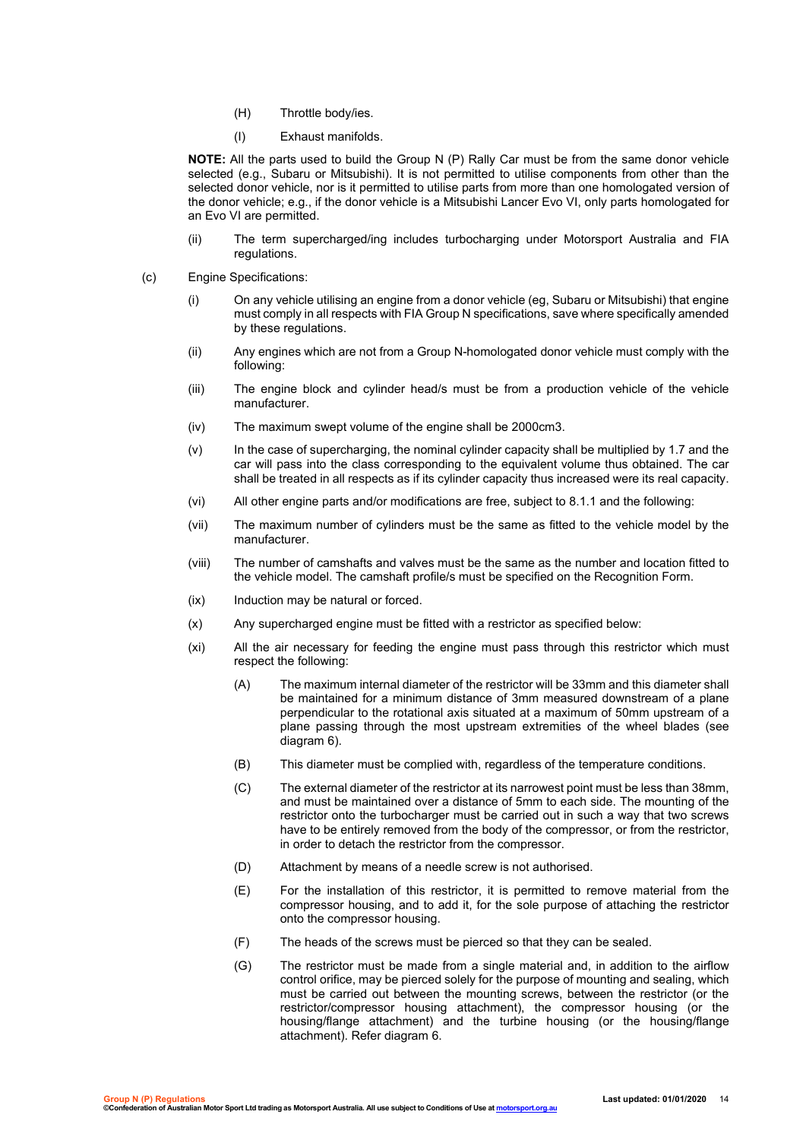- (H) Throttle body/ies.
- (I) Exhaust manifolds.

**NOTE:** All the parts used to build the Group N (P) Rally Car must be from the same donor vehicle selected (e.g., Subaru or Mitsubishi). It is not permitted to utilise components from other than the selected donor vehicle, nor is it permitted to utilise parts from more than one homologated version of the donor vehicle; e.g., if the donor vehicle is a Mitsubishi Lancer Evo VI, only parts homologated for an Evo VI are permitted.

- (ii) The term supercharged/ing includes turbocharging under Motorsport Australia and FIA regulations.
- (c) Engine Specifications:
	- (i) On any vehicle utilising an engine from a donor vehicle (eg, Subaru or Mitsubishi) that engine must comply in all respects with FIA Group N specifications, save where specifically amended by these regulations.
	- (ii) Any engines which are not from a Group N-homologated donor vehicle must comply with the following:
	- (iii) The engine block and cylinder head/s must be from a production vehicle of the vehicle manufacturer.
	- (iv) The maximum swept volume of the engine shall be 2000cm3.
	- (v) In the case of supercharging, the nominal cylinder capacity shall be multiplied by 1.7 and the car will pass into the class corresponding to the equivalent volume thus obtained. The car shall be treated in all respects as if its cylinder capacity thus increased were its real capacity.
	- (vi) All other engine parts and/or modifications are free, subject to 8.1.1 and the following:
	- (vii) The maximum number of cylinders must be the same as fitted to the vehicle model by the manufacturer.
	- (viii) The number of camshafts and valves must be the same as the number and location fitted to the vehicle model. The camshaft profile/s must be specified on the Recognition Form.
	- (ix) Induction may be natural or forced.
	- (x) Any supercharged engine must be fitted with a restrictor as specified below:
	- (xi) All the air necessary for feeding the engine must pass through this restrictor which must respect the following:
		- (A) The maximum internal diameter of the restrictor will be 33mm and this diameter shall be maintained for a minimum distance of 3mm measured downstream of a plane perpendicular to the rotational axis situated at a maximum of 50mm upstream of a plane passing through the most upstream extremities of the wheel blades (see diagram 6).
		- (B) This diameter must be complied with, regardless of the temperature conditions.
		- (C) The external diameter of the restrictor at its narrowest point must be less than 38mm, and must be maintained over a distance of 5mm to each side. The mounting of the restrictor onto the turbocharger must be carried out in such a way that two screws have to be entirely removed from the body of the compressor, or from the restrictor, in order to detach the restrictor from the compressor.
		- (D) Attachment by means of a needle screw is not authorised.
		- (E) For the installation of this restrictor, it is permitted to remove material from the compressor housing, and to add it, for the sole purpose of attaching the restrictor onto the compressor housing.
		- (F) The heads of the screws must be pierced so that they can be sealed.
		- (G) The restrictor must be made from a single material and, in addition to the airflow control orifice, may be pierced solely for the purpose of mounting and sealing, which must be carried out between the mounting screws, between the restrictor (or the restrictor/compressor housing attachment), the compressor housing (or the housing/flange attachment) and the turbine housing (or the housing/flange attachment). Refer diagram 6.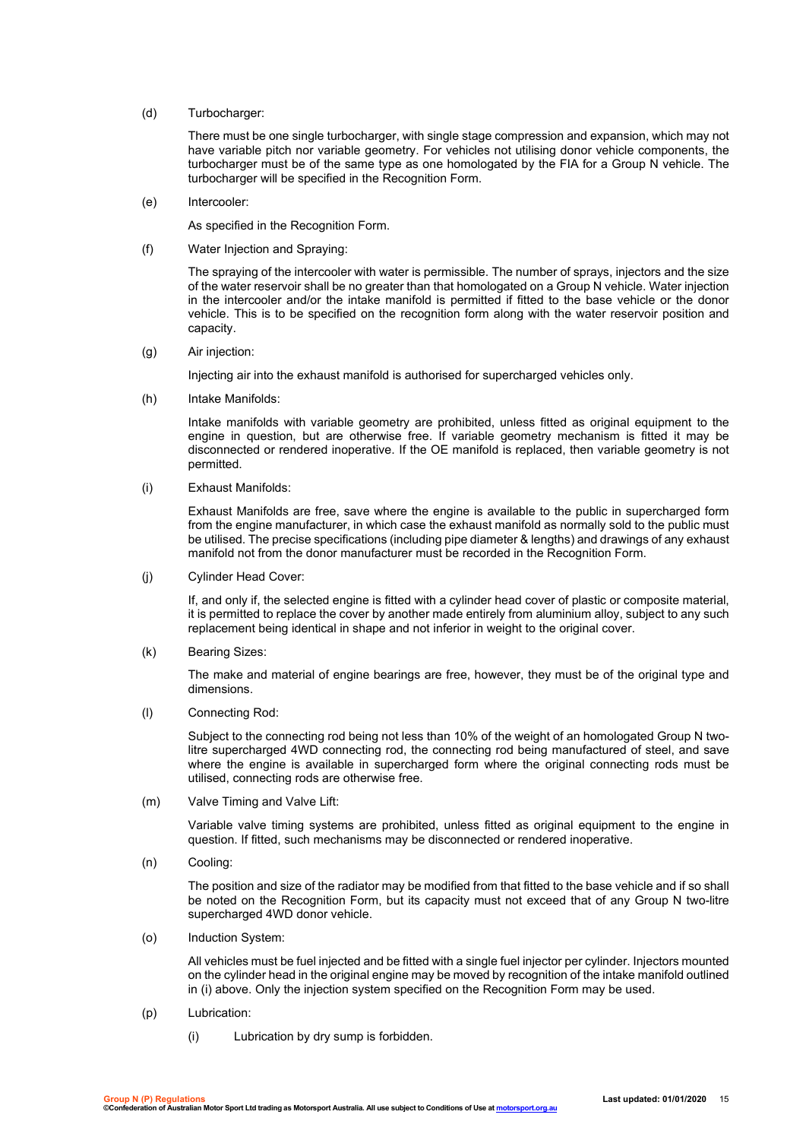(d) Turbocharger:

There must be one single turbocharger, with single stage compression and expansion, which may not have variable pitch nor variable geometry. For vehicles not utilising donor vehicle components, the turbocharger must be of the same type as one homologated by the FIA for a Group N vehicle. The turbocharger will be specified in the Recognition Form.

(e) Intercooler:

As specified in the Recognition Form.

(f) Water Injection and Spraying:

The spraying of the intercooler with water is permissible. The number of sprays, injectors and the size of the water reservoir shall be no greater than that homologated on a Group N vehicle. Water injection in the intercooler and/or the intake manifold is permitted if fitted to the base vehicle or the donor vehicle. This is to be specified on the recognition form along with the water reservoir position and capacity.

(g) Air injection:

Injecting air into the exhaust manifold is authorised for supercharged vehicles only.

(h) Intake Manifolds:

Intake manifolds with variable geometry are prohibited, unless fitted as original equipment to the engine in question, but are otherwise free. If variable geometry mechanism is fitted it may be disconnected or rendered inoperative. If the OE manifold is replaced, then variable geometry is not permitted.

(i) Exhaust Manifolds:

Exhaust Manifolds are free, save where the engine is available to the public in supercharged form from the engine manufacturer, in which case the exhaust manifold as normally sold to the public must be utilised. The precise specifications (including pipe diameter & lengths) and drawings of any exhaust manifold not from the donor manufacturer must be recorded in the Recognition Form.

(j) Cylinder Head Cover:

If, and only if, the selected engine is fitted with a cylinder head cover of plastic or composite material, it is permitted to replace the cover by another made entirely from aluminium alloy, subject to any such replacement being identical in shape and not inferior in weight to the original cover.

(k) Bearing Sizes:

The make and material of engine bearings are free, however, they must be of the original type and dimensions.

(l) Connecting Rod:

Subject to the connecting rod being not less than 10% of the weight of an homologated Group N twolitre supercharged 4WD connecting rod, the connecting rod being manufactured of steel, and save where the engine is available in supercharged form where the original connecting rods must be utilised, connecting rods are otherwise free.

(m) Valve Timing and Valve Lift:

Variable valve timing systems are prohibited, unless fitted as original equipment to the engine in question. If fitted, such mechanisms may be disconnected or rendered inoperative.

(n) Cooling:

The position and size of the radiator may be modified from that fitted to the base vehicle and if so shall be noted on the Recognition Form, but its capacity must not exceed that of any Group N two-litre supercharged 4WD donor vehicle.

(o) Induction System:

All vehicles must be fuel injected and be fitted with a single fuel injector per cylinder. Injectors mounted on the cylinder head in the original engine may be moved by recognition of the intake manifold outlined in (i) above. Only the injection system specified on the Recognition Form may be used.

- (p) Lubrication:
	- (i) Lubrication by dry sump is forbidden.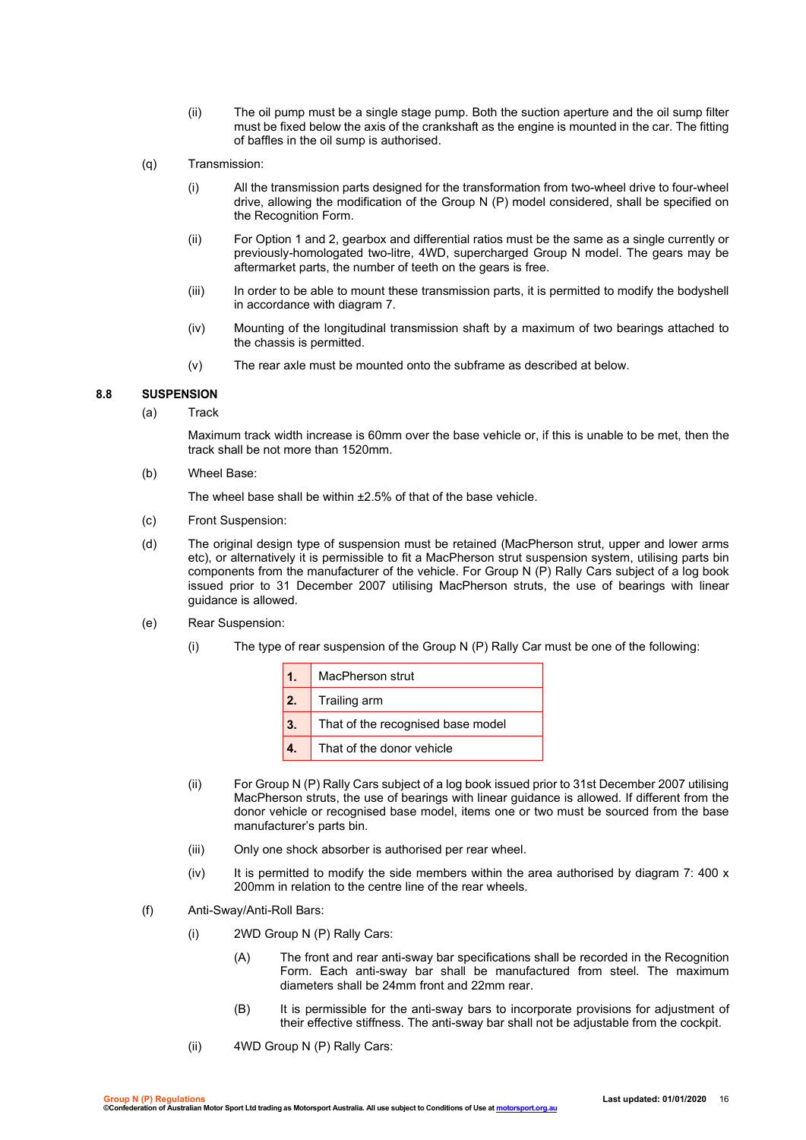- (ii) The oil pump must be a single stage pump. Both the suction aperture and the oil sump filter must be fixed below the axis of the crankshaft as the engine is mounted in the car. The fitting of baffles in the oil sump is authorised.
- (q) Transmission:
	- (i) All the transmission parts designed for the transformation from two-wheel drive to four-wheel drive, allowing the modification of the Group N (P) model considered, shall be specified on the Recognition Form.
	- (ii) For Option 1 and 2, gearbox and differential ratios must be the same as a single currently or previously-homologated two-litre, 4WD, supercharged Group N model. The gears may be aftermarket parts, the number of teeth on the gears is free.
	- (iii) In order to be able to mount these transmission parts, it is permitted to modify the bodyshell in accordance with diagram 7.
	- (iv) Mounting of the longitudinal transmission shaft by a maximum of two bearings attached to the chassis is permitted.
	- (v) The rear axle must be mounted onto the subframe as described at below.

#### **8.8 SUSPENSION**

(a) Track

Maximum track width increase is 60mm over the base vehicle or, if this is unable to be met, then the track shall be not more than 1520mm.

(b) Wheel Base:

The wheel base shall be within ±2.5% of that of the base vehicle.

- (c) Front Suspension:
- (d) The original design type of suspension must be retained (MacPherson strut, upper and lower arms etc), or alternatively it is permissible to fit a MacPherson strut suspension system, utilising parts bin components from the manufacturer of the vehicle. For Group N (P) Rally Cars subject of a log book issued prior to 31 December 2007 utilising MacPherson struts, the use of bearings with linear guidance is allowed.
- (e) Rear Suspension:
	- (i) The type of rear suspension of the Group N (P) Rally Car must be one of the following:

| 1.  | MacPherson strut                  |  |
|-----|-----------------------------------|--|
| 2.  | Trailing arm                      |  |
| 3.  | That of the recognised base model |  |
| 4.7 | That of the donor vehicle         |  |

- (ii) For Group N (P) Rally Cars subject of a log book issued prior to 31st December 2007 utilising MacPherson struts, the use of bearings with linear guidance is allowed. If different from the donor vehicle or recognised base model, items one or two must be sourced from the base manufacturer's parts bin.
- (iii) Only one shock absorber is authorised per rear wheel.
- $(iv)$  It is permitted to modify the side members within the area authorised by diagram 7: 400 x 200mm in relation to the centre line of the rear wheels.
- (f) Anti-Sway/Anti-Roll Bars:
	- (i) 2WD Group N (P) Rally Cars:
		- (A) The front and rear anti-sway bar specifications shall be recorded in the Recognition Form. Each anti-sway bar shall be manufactured from steel. The maximum diameters shall be 24mm front and 22mm rear.
		- (B) It is permissible for the anti-sway bars to incorporate provisions for adjustment of their effective stiffness. The anti-sway bar shall not be adjustable from the cockpit.
	- (ii) 4WD Group N (P) Rally Cars: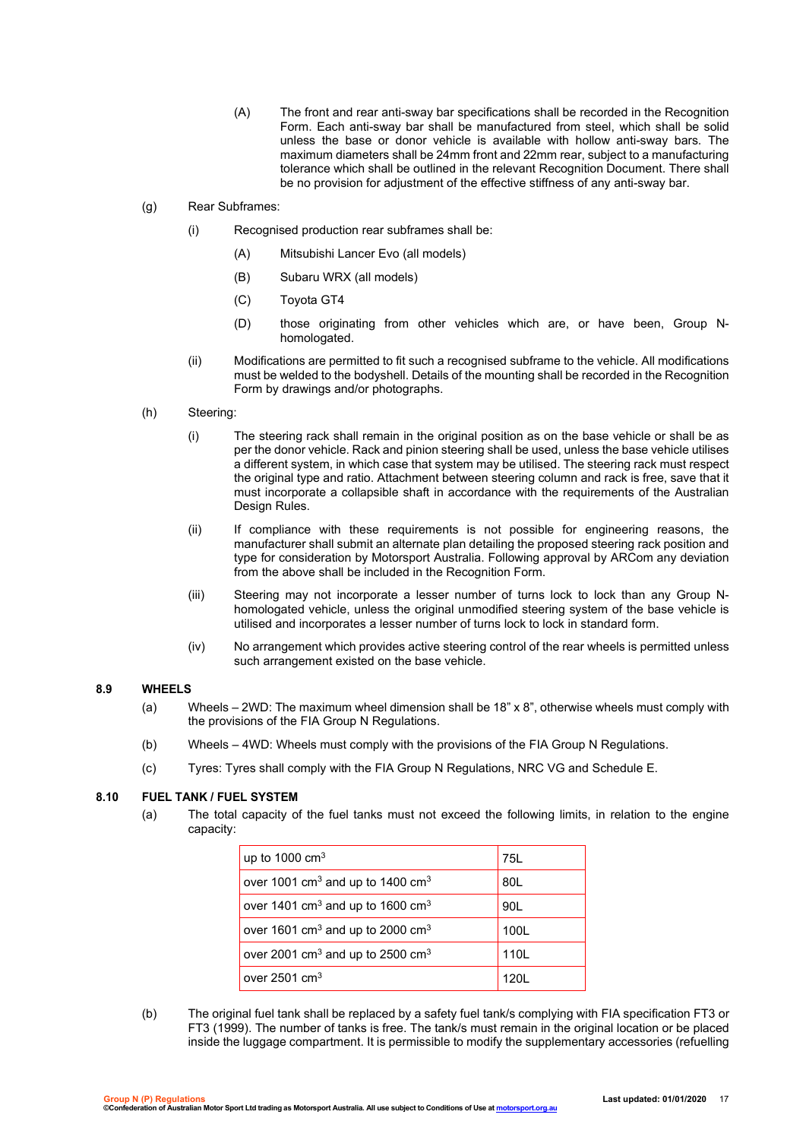- (A) The front and rear anti-sway bar specifications shall be recorded in the Recognition Form. Each anti-sway bar shall be manufactured from steel, which shall be solid unless the base or donor vehicle is available with hollow anti-sway bars. The maximum diameters shall be 24mm front and 22mm rear, subject to a manufacturing tolerance which shall be outlined in the relevant Recognition Document. There shall be no provision for adjustment of the effective stiffness of any anti-sway bar.
- (g) Rear Subframes:
	- (i) Recognised production rear subframes shall be:
		- (A) Mitsubishi Lancer Evo (all models)
		- (B) Subaru WRX (all models)
		- (C) Toyota GT4
		- (D) those originating from other vehicles which are, or have been, Group Nhomologated.
	- (ii) Modifications are permitted to fit such a recognised subframe to the vehicle. All modifications must be welded to the bodyshell. Details of the mounting shall be recorded in the Recognition Form by drawings and/or photographs.
- (h) Steering:
	- (i) The steering rack shall remain in the original position as on the base vehicle or shall be as per the donor vehicle. Rack and pinion steering shall be used, unless the base vehicle utilises a different system, in which case that system may be utilised. The steering rack must respect the original type and ratio. Attachment between steering column and rack is free, save that it must incorporate a collapsible shaft in accordance with the requirements of the Australian Design Rules.
	- (ii) If compliance with these requirements is not possible for engineering reasons, the manufacturer shall submit an alternate plan detailing the proposed steering rack position and type for consideration by Motorsport Australia. Following approval by ARCom any deviation from the above shall be included in the Recognition Form.
	- (iii) Steering may not incorporate a lesser number of turns lock to lock than any Group Nhomologated vehicle, unless the original unmodified steering system of the base vehicle is utilised and incorporates a lesser number of turns lock to lock in standard form.
	- (iv) No arrangement which provides active steering control of the rear wheels is permitted unless such arrangement existed on the base vehicle.

#### **8.9 WHEELS**

- (a) Wheels 2WD: The maximum wheel dimension shall be 18" x 8", otherwise wheels must comply with the provisions of the FIA Group N Regulations.
- (b) Wheels 4WD: Wheels must comply with the provisions of the FIA Group N Regulations.
- (c) Tyres: Tyres shall comply with the FIA Group N Regulations, NRC VG and Schedule E.

#### **8.10 FUEL TANK / FUEL SYSTEM**

(a) The total capacity of the fuel tanks must not exceed the following limits, in relation to the engine capacity:

| up to 1000 $cm3$                                         | 75L  |
|----------------------------------------------------------|------|
| over 1001 $\text{cm}^3$ and up to 1400 $\text{cm}^3$     | 80L  |
| over 1401 cm <sup>3</sup> and up to 1600 cm <sup>3</sup> | 90L  |
| over 1601 $\text{cm}^3$ and up to 2000 $\text{cm}^3$     | 100L |
| over 2001 cm <sup>3</sup> and up to 2500 cm <sup>3</sup> | 110L |
| over $2501 \text{ cm}^3$                                 | 1201 |

(b) The original fuel tank shall be replaced by a safety fuel tank/s complying with FIA specification FT3 or FT3 (1999). The number of tanks is free. The tank/s must remain in the original location or be placed inside the luggage compartment. It is permissible to modify the supplementary accessories (refuelling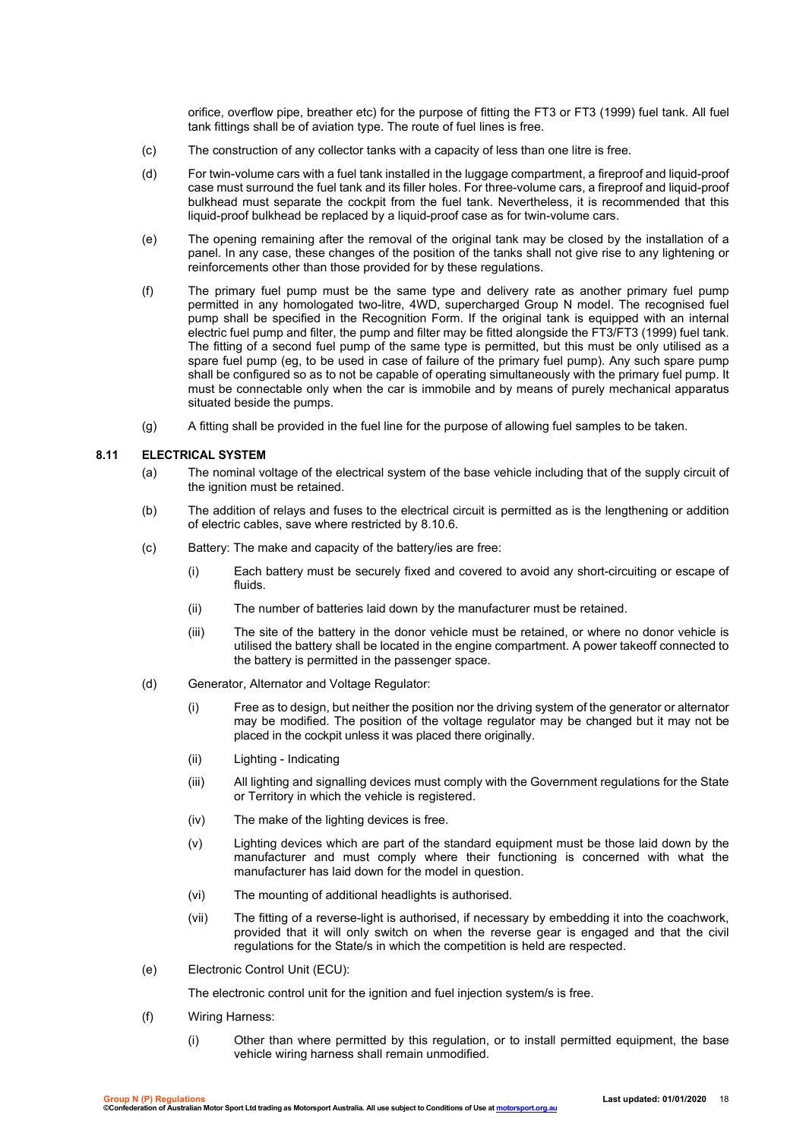orifice, overflow pipe, breather etc) for the purpose of fitting the FT3 or FT3 (1999) fuel tank. All fuel tank fittings shall be of aviation type. The route of fuel lines is free.

- (c) The construction of any collector tanks with a capacity of less than one litre is free.
- (d) For twin-volume cars with a fuel tank installed in the luggage compartment, a fireproof and liquid-proof case must surround the fuel tank and its filler holes. For three-volume cars, a fireproof and liquid-proof bulkhead must separate the cockpit from the fuel tank. Nevertheless, it is recommended that this liquid-proof bulkhead be replaced by a liquid-proof case as for twin-volume cars.
- (e) The opening remaining after the removal of the original tank may be closed by the installation of a panel. In any case, these changes of the position of the tanks shall not give rise to any lightening or reinforcements other than those provided for by these regulations.
- (f) The primary fuel pump must be the same type and delivery rate as another primary fuel pump permitted in any homologated two-litre, 4WD, supercharged Group N model. The recognised fuel pump shall be specified in the Recognition Form. If the original tank is equipped with an internal electric fuel pump and filter, the pump and filter may be fitted alongside the FT3/FT3 (1999) fuel tank. The fitting of a second fuel pump of the same type is permitted, but this must be only utilised as a spare fuel pump (eg, to be used in case of failure of the primary fuel pump). Any such spare pump shall be configured so as to not be capable of operating simultaneously with the primary fuel pump. It must be connectable only when the car is immobile and by means of purely mechanical apparatus situated beside the pumps.
- (g) A fitting shall be provided in the fuel line for the purpose of allowing fuel samples to be taken.

#### **8.11 ELECTRICAL SYSTEM**

- (a) The nominal voltage of the electrical system of the base vehicle including that of the supply circuit of the ignition must be retained.
- (b) The addition of relays and fuses to the electrical circuit is permitted as is the lengthening or addition of electric cables, save where restricted by 8.10.6.
- (c) Battery: The make and capacity of the battery/ies are free:
	- (i) Each battery must be securely fixed and covered to avoid any short-circuiting or escape of fluids.
	- (ii) The number of batteries laid down by the manufacturer must be retained.
	- (iii) The site of the battery in the donor vehicle must be retained, or where no donor vehicle is utilised the battery shall be located in the engine compartment. A power takeoff connected to the battery is permitted in the passenger space.
- (d) Generator, Alternator and Voltage Regulator:
	- (i) Free as to design, but neither the position nor the driving system of the generator or alternator may be modified. The position of the voltage regulator may be changed but it may not be placed in the cockpit unless it was placed there originally.
	- (ii) Lighting Indicating
	- (iii) All lighting and signalling devices must comply with the Government regulations for the State or Territory in which the vehicle is registered.
	- (iv) The make of the lighting devices is free.
	- (v) Lighting devices which are part of the standard equipment must be those laid down by the manufacturer and must comply where their functioning is concerned with what the manufacturer has laid down for the model in question.
	- (vi) The mounting of additional headlights is authorised.
	- (vii) The fitting of a reverse-light is authorised, if necessary by embedding it into the coachwork, provided that it will only switch on when the reverse gear is engaged and that the civil regulations for the State/s in which the competition is held are respected.
- (e) Electronic Control Unit (ECU):

The electronic control unit for the ignition and fuel injection system/s is free.

- (f) Wiring Harness:
	- (i) Other than where permitted by this regulation, or to install permitted equipment, the base vehicle wiring harness shall remain unmodified.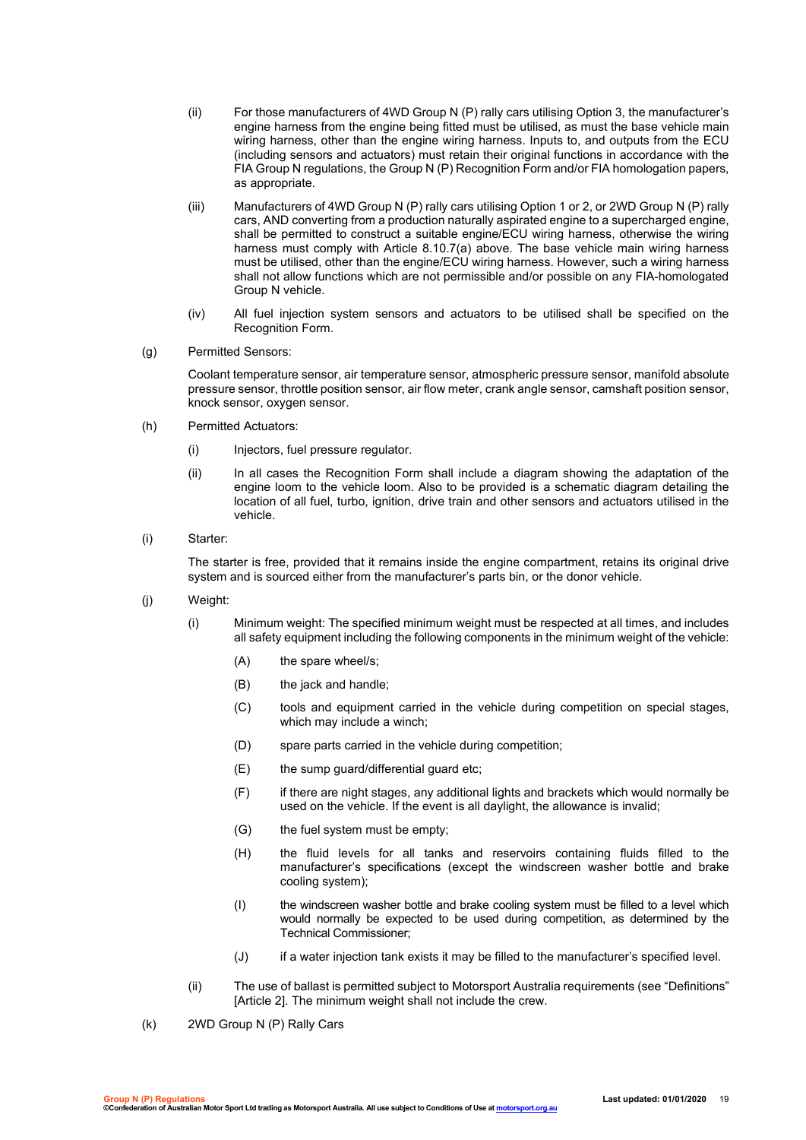- (ii) For those manufacturers of 4WD Group N (P) rally cars utilising Option 3, the manufacturer's engine harness from the engine being fitted must be utilised, as must the base vehicle main wiring harness, other than the engine wiring harness. Inputs to, and outputs from the ECU (including sensors and actuators) must retain their original functions in accordance with the FIA Group N regulations, the Group N (P) Recognition Form and/or FIA homologation papers, as appropriate.
- (iii) Manufacturers of 4WD Group N (P) rally cars utilising Option 1 or 2, or 2WD Group N (P) rally cars, AND converting from a production naturally aspirated engine to a supercharged engine, shall be permitted to construct a suitable engine/ECU wiring harness, otherwise the wiring harness must comply with Article 8.10.7(a) above. The base vehicle main wiring harness must be utilised, other than the engine/ECU wiring harness. However, such a wiring harness shall not allow functions which are not permissible and/or possible on any FIA-homologated Group N vehicle.
- (iv) All fuel injection system sensors and actuators to be utilised shall be specified on the Recognition Form.
- (g) Permitted Sensors:

Coolant temperature sensor, air temperature sensor, atmospheric pressure sensor, manifold absolute pressure sensor, throttle position sensor, air flow meter, crank angle sensor, camshaft position sensor, knock sensor, oxygen sensor.

- (h) Permitted Actuators:
	- (i) Injectors, fuel pressure regulator.
	- (ii) In all cases the Recognition Form shall include a diagram showing the adaptation of the engine loom to the vehicle loom. Also to be provided is a schematic diagram detailing the location of all fuel, turbo, ignition, drive train and other sensors and actuators utilised in the vehicle.
- (i) Starter:

The starter is free, provided that it remains inside the engine compartment, retains its original drive system and is sourced either from the manufacturer's parts bin, or the donor vehicle.

- (j) Weight:
	- (i) Minimum weight: The specified minimum weight must be respected at all times, and includes all safety equipment including the following components in the minimum weight of the vehicle:
		- (A) the spare wheel/s;
		- (B) the jack and handle;
		- (C) tools and equipment carried in the vehicle during competition on special stages, which may include a winch;
		- (D) spare parts carried in the vehicle during competition;
		- (E) the sump guard/differential guard etc;
		- (F) if there are night stages, any additional lights and brackets which would normally be used on the vehicle. If the event is all daylight, the allowance is invalid;
		- (G) the fuel system must be empty;
		- (H) the fluid levels for all tanks and reservoirs containing fluids filled to the manufacturer's specifications (except the windscreen washer bottle and brake cooling system);
		- (I) the windscreen washer bottle and brake cooling system must be filled to a level which would normally be expected to be used during competition, as determined by the Technical Commissioner;
		- (J) if a water injection tank exists it may be filled to the manufacturer's specified level.
	- (ii) The use of ballast is permitted subject to Motorsport Australia requirements (see "Definitions" [Article 2]. The minimum weight shall not include the crew.
- (k) 2WD Group N (P) Rally Cars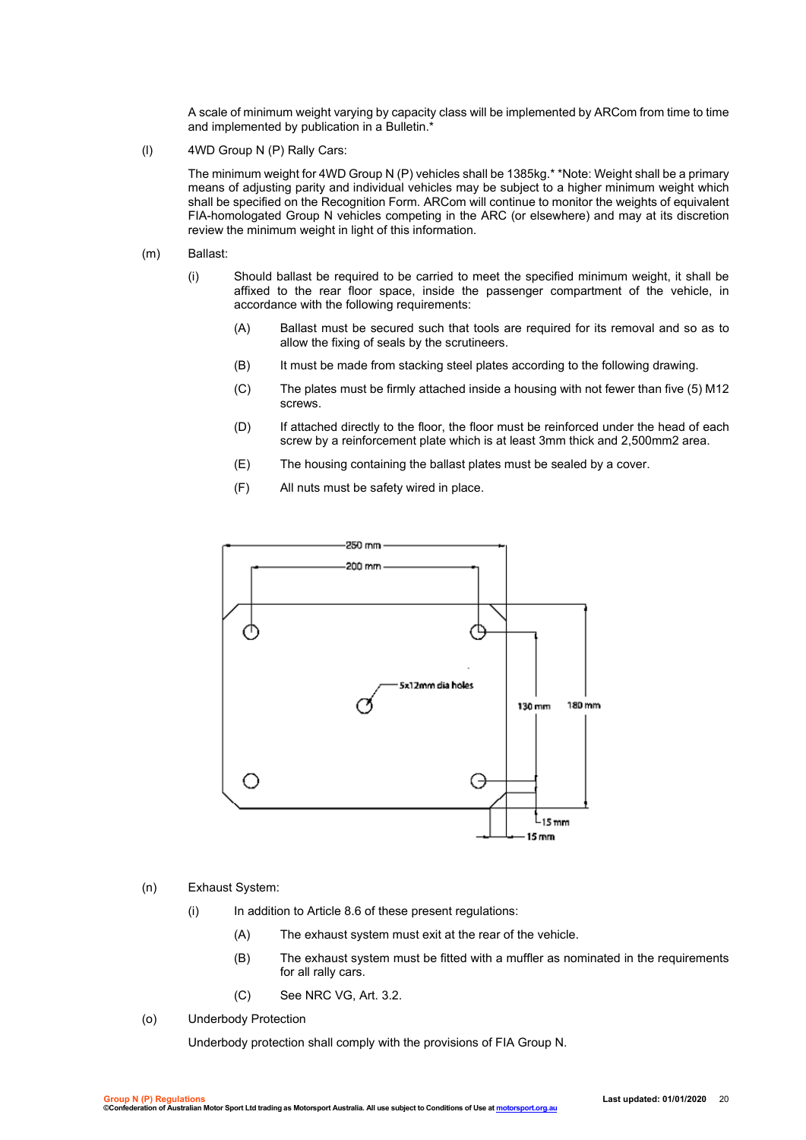A scale of minimum weight varying by capacity class will be implemented by ARCom from time to time and implemented by publication in a Bulletin.\*

(l) 4WD Group N (P) Rally Cars:

The minimum weight for 4WD Group N (P) vehicles shall be 1385kg.\* \*Note: Weight shall be a primary means of adjusting parity and individual vehicles may be subject to a higher minimum weight which shall be specified on the Recognition Form. ARCom will continue to monitor the weights of equivalent FIA-homologated Group N vehicles competing in the ARC (or elsewhere) and may at its discretion review the minimum weight in light of this information.

- (m) Ballast:
	- (i) Should ballast be required to be carried to meet the specified minimum weight, it shall be affixed to the rear floor space, inside the passenger compartment of the vehicle, in accordance with the following requirements:
		- (A) Ballast must be secured such that tools are required for its removal and so as to allow the fixing of seals by the scrutineers.
		- (B) It must be made from stacking steel plates according to the following drawing.
		- (C) The plates must be firmly attached inside a housing with not fewer than five (5) M12 screws.
		- (D) If attached directly to the floor, the floor must be reinforced under the head of each screw by a reinforcement plate which is at least 3mm thick and 2,500mm2 area.
		- (E) The housing containing the ballast plates must be sealed by a cover.
		- (F) All nuts must be safety wired in place.



#### (n) Exhaust System:

- (i) In addition to Article 8.6 of these present regulations:
	- (A) The exhaust system must exit at the rear of the vehicle.
	- (B) The exhaust system must be fitted with a muffler as nominated in the requirements for all rally cars.
	- (C) See NRC VG, Art. 3.2.
- (o) Underbody Protection

Underbody protection shall comply with the provisions of FIA Group N.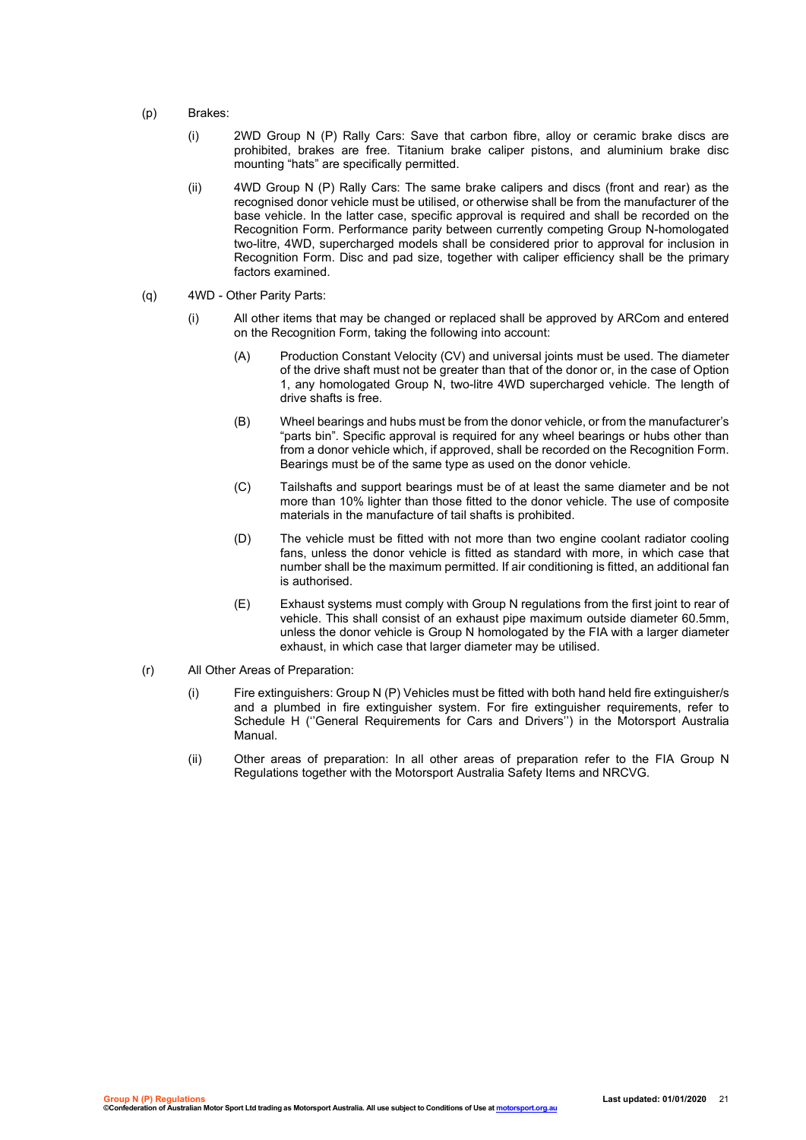- (p) Brakes:
	- (i) 2WD Group N (P) Rally Cars: Save that carbon fibre, alloy or ceramic brake discs are prohibited, brakes are free. Titanium brake caliper pistons, and aluminium brake disc mounting "hats" are specifically permitted.
	- (ii) 4WD Group N (P) Rally Cars: The same brake calipers and discs (front and rear) as the recognised donor vehicle must be utilised, or otherwise shall be from the manufacturer of the base vehicle. In the latter case, specific approval is required and shall be recorded on the Recognition Form. Performance parity between currently competing Group N-homologated two-litre, 4WD, supercharged models shall be considered prior to approval for inclusion in Recognition Form. Disc and pad size, together with caliper efficiency shall be the primary factors examined.
- (q) 4WD Other Parity Parts:
	- (i) All other items that may be changed or replaced shall be approved by ARCom and entered on the Recognition Form, taking the following into account:
		- (A) Production Constant Velocity (CV) and universal joints must be used. The diameter of the drive shaft must not be greater than that of the donor or, in the case of Option 1, any homologated Group N, two-litre 4WD supercharged vehicle. The length of drive shafts is free.
		- (B) Wheel bearings and hubs must be from the donor vehicle, or from the manufacturer's "parts bin". Specific approval is required for any wheel bearings or hubs other than from a donor vehicle which, if approved, shall be recorded on the Recognition Form. Bearings must be of the same type as used on the donor vehicle.
		- (C) Tailshafts and support bearings must be of at least the same diameter and be not more than 10% lighter than those fitted to the donor vehicle. The use of composite materials in the manufacture of tail shafts is prohibited.
		- (D) The vehicle must be fitted with not more than two engine coolant radiator cooling fans, unless the donor vehicle is fitted as standard with more, in which case that number shall be the maximum permitted. If air conditioning is fitted, an additional fan is authorised.
		- (E) Exhaust systems must comply with Group N regulations from the first joint to rear of vehicle. This shall consist of an exhaust pipe maximum outside diameter 60.5mm, unless the donor vehicle is Group N homologated by the FIA with a larger diameter exhaust, in which case that larger diameter may be utilised.
- (r) All Other Areas of Preparation:
	- (i) Fire extinguishers: Group N (P) Vehicles must be fitted with both hand held fire extinguisher/s and a plumbed in fire extinguisher system. For fire extinguisher requirements, refer to Schedule H (''General Requirements for Cars and Drivers'') in the Motorsport Australia Manual.
	- (ii) Other areas of preparation: In all other areas of preparation refer to the FIA Group N Regulations together with the Motorsport Australia Safety Items and NRCVG.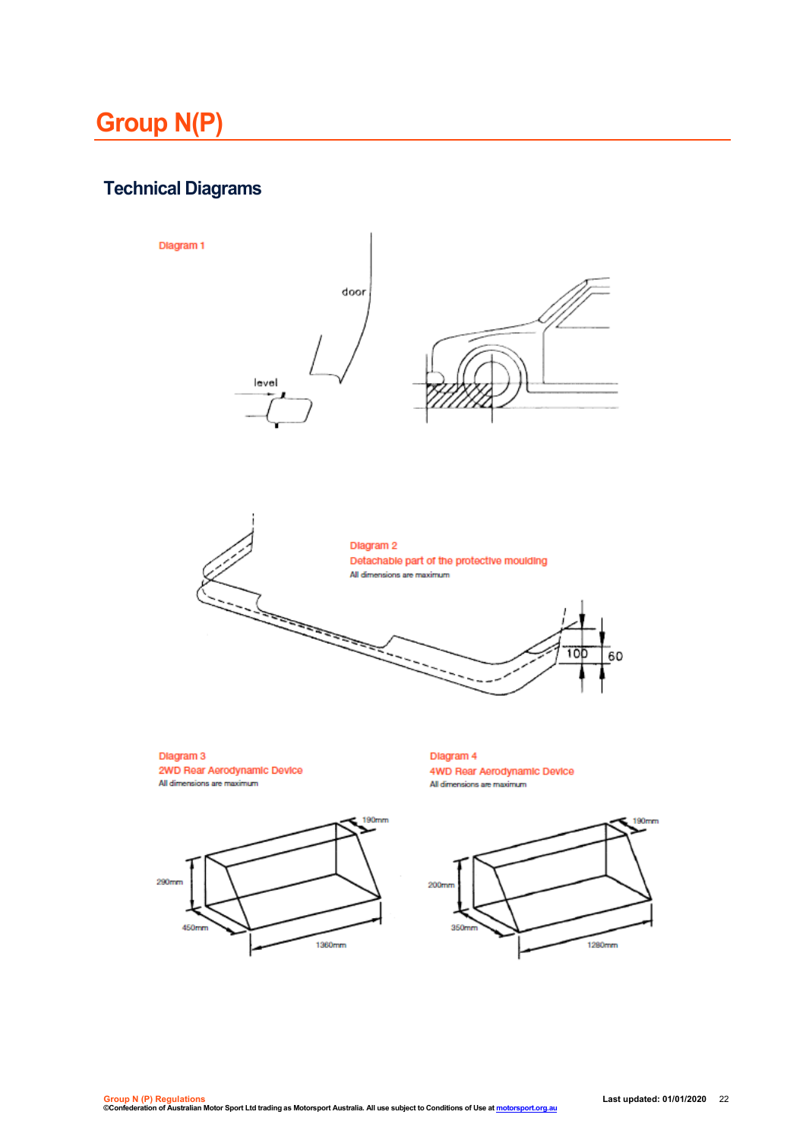# **Group N(P)**

## **Technical Diagrams**

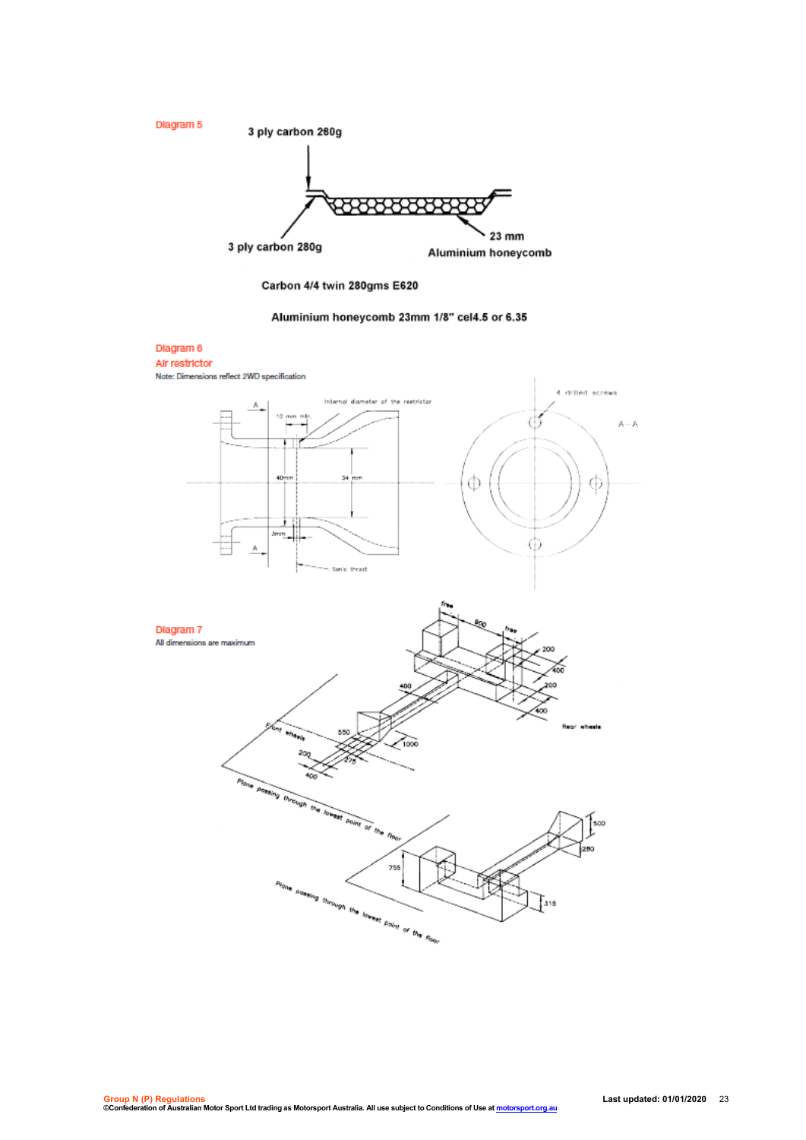

Carbon 4/4 twin 280gms E620

#### Aluminium honeycomb 23mm 1/8" cel4.5 or 6.35